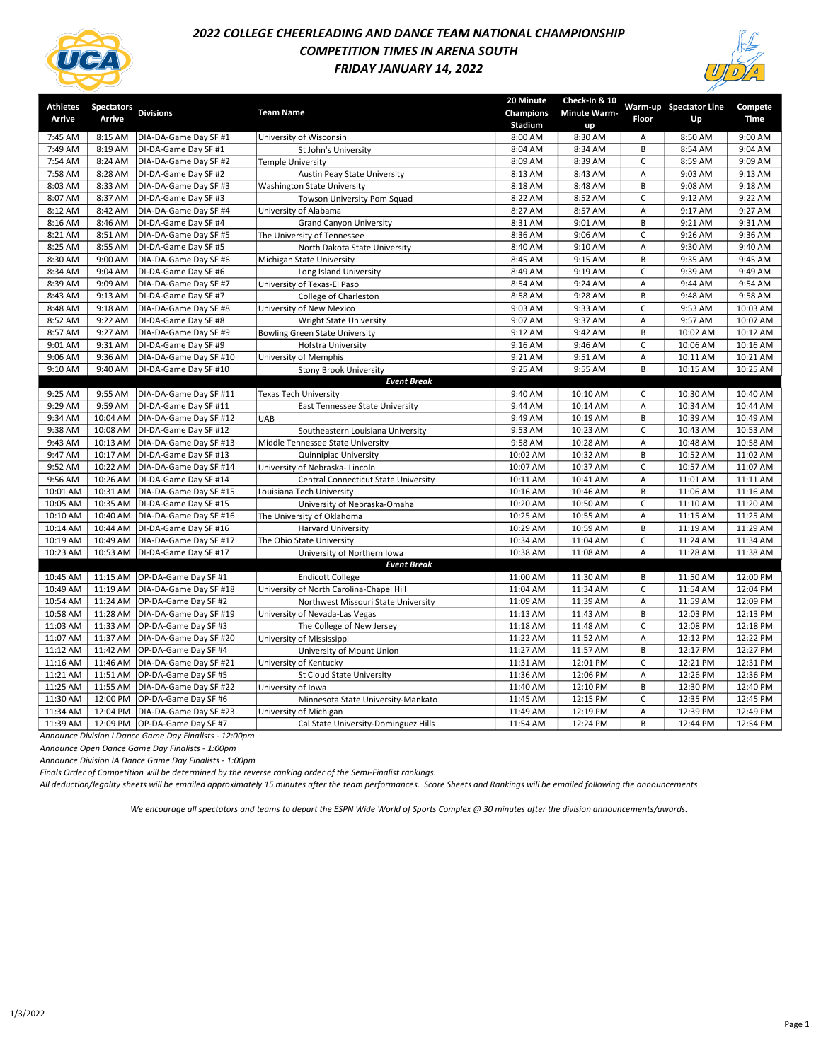

# 2022 COLLEGE CHEERLEADING AND DANCE TEAM NATIONAL CHAMPIONSHIP COMPETITION TIMES IN ARENA SOUTH FRIDAY JANUARY 14, 2022



| Athletes | <b>Spectators</b> | <b>Divisions</b>                  | <b>Team Name</b>                         | 20 Minute<br>Champions | Check-In & 10<br><b>Minute Warm-</b> |                | Warm-up Spectator Line | Compete     |
|----------|-------------------|-----------------------------------|------------------------------------------|------------------------|--------------------------------------|----------------|------------------------|-------------|
| Arrive   | Arrive            |                                   |                                          | Stadium                | up                                   | Floor          | Up                     | <b>Time</b> |
| 7:45 AM  | 8:15 AM           | DIA-DA-Game Day SF #1             | University of Wisconsin                  | 8:00 AM                | 8:30 AM                              | Α              | 8:50 AM                | 9:00 AM     |
| 7:49 AM  | 8:19 AM           | DI-DA-Game Day SF #1              | St John's University                     | 8:04 AM                | 8:34 AM                              | B              | 8:54 AM                | 9:04 AM     |
| 7:54 AM  | 8:24 AM           | DIA-DA-Game Day SF #2             | Temple University                        | 8:09 AM                | 8:39 AM                              | C              | 8:59 AM                | 9:09 AM     |
| 7:58 AM  | 8:28 AM           | DI-DA-Game Day SF #2              | Austin Peay State University             | 8:13 AM                | 8:43 AM                              | Α              | 9:03 AM                | 9:13 AM     |
| 8:03 AM  | 8:33 AM           | DIA-DA-Game Day SF #3             | Washington State University              | 8:18 AM                | 8:48 AM                              | B              | 9:08 AM                | 9:18 AM     |
| 8:07 AM  | 8:37 AM           | DI-DA-Game Day SF #3              | Towson University Pom Squad              | 8:22 AM                | 8:52 AM                              | C              | 9:12 AM                | 9:22 AM     |
| 8:12 AM  | 8:42 AM           | DIA-DA-Game Day SF #4             | University of Alabama                    | 8:27 AM                | 8:57 AM                              | A              | 9:17 AM                | 9:27 AM     |
| 8:16 AM  | 8:46 AM           | DI-DA-Game Day SF #4              | <b>Grand Canyon University</b>           | 8:31 AM                | 9:01 AM                              | B              | 9:21 AM                | 9:31 AM     |
| 8:21 AM  | 8:51 AM           | DIA-DA-Game Day SF #5             | The University of Tennessee              | 8:36 AM                | 9:06 AM                              | $\mathsf C$    | 9:26 AM                | 9:36 AM     |
| 8:25 AM  | 8:55 AM           | DI-DA-Game Day SF #5              | North Dakota State University            | 8:40 AM                | 9:10 AM                              | A              | 9:30 AM                | 9:40 AM     |
| 8:30 AM  | 9:00 AM           | DIA-DA-Game Day SF #6             | Michigan State University                | 8:45 AM                | 9:15 AM                              | B              | 9:35 AM                | 9:45 AM     |
| 8:34 AM  | 9:04 AM           | DI-DA-Game Day SF #6              | Long Island University                   | 8:49 AM                | 9:19 AM                              | C              | 9:39 AM                | 9:49 AM     |
| 8:39 AM  | 9:09 AM           | DIA-DA-Game Day SF #7             | University of Texas-El Paso              | 8:54 AM                | 9:24 AM                              | А              | 9:44 AM                | 9:54 AM     |
| 8:43 AM  | 9:13 AM           | DI-DA-Game Day SF #7              | College of Charleston                    | 8:58 AM                | 9:28 AM                              | B              | 9:48 AM                | 9:58 AM     |
| 8:48 AM  | 9:18 AM           | DIA-DA-Game Day SF #8             | University of New Mexico                 | 9:03 AM                | 9:33 AM                              | C              | 9:53 AM                | 10:03 AM    |
| 8:52 AM  | 9:22 AM           | DI-DA-Game Day SF #8              | Wright State University                  | 9:07 AM                | 9:37 AM                              | A              | 9:57 AM                | 10:07 AM    |
| 8:57 AM  | 9:27 AM           | DIA-DA-Game Day SF #9             | <b>Bowling Green State University</b>    | 9:12 AM                | 9:42 AM                              | B              | 10:02 AM               | 10:12 AM    |
| 9:01 AM  | 9:31 AM           | DI-DA-Game Day SF #9              | Hofstra University                       | 9:16 AM                | 9:46 AM                              | $\mathsf{C}$   | 10:06 AM               | 10:16 AM    |
| 9:06 AM  | 9:36 AM           | DIA-DA-Game Day SF #10            | University of Memphis                    | 9:21 AM                | 9:51 AM                              | A              | 10:11 AM               | 10:21 AM    |
| 9:10 AM  | 9:40 AM           | DI-DA-Game Day SF #10             | <b>Stony Brook University</b>            | 9:25 AM                | 9:55 AM                              | B              | 10:15 AM               | 10:25 AM    |
|          |                   |                                   | <b>Event Break</b>                       |                        |                                      |                |                        |             |
| 9:25 AM  | 9:55 AM           | DIA-DA-Game Day SF #11            | Texas Tech University                    | 9:40 AM                | 10:10 AM                             | C              | 10:30 AM               | 10:40 AM    |
| 9:29 AM  | 9:59 AM           | DI-DA-Game Day SF #11             | East Tennessee State University          | 9:44 AM                | 10:14 AM                             | A              | 10:34 AM               | 10:44 AM    |
| 9:34 AM  | 10:04 AM          | DIA-DA-Game Day SF #12            | UAB                                      | 9:49 AM                | 10:19 AM                             | B              | 10:39 AM               | 10:49 AM    |
| 9:38 AM  | 10:08 AM          | DI-DA-Game Day SF #12             | Southeastern Louisiana University        | 9:53 AM                | 10:23 AM                             | C              | 10:43 AM               | 10:53 AM    |
| 9:43 AM  | 10:13 AM          | DIA-DA-Game Day SF #13            | Middle Tennessee State University        | 9:58 AM                | 10:28 AM                             | Α              | 10:48 AM               | 10:58 AM    |
| 9:47 AM  | 10:17 AM          | DI-DA-Game Day SF #13             | Quinnipiac University                    | 10:02 AM               | 10:32 AM                             | B              | 10:52 AM               | 11:02 AM    |
| 9:52 AM  | 10:22 AM          | DIA-DA-Game Day SF #14            | University of Nebraska- Lincoln          | 10:07 AM               | 10:37 AM                             | $\mathsf{C}$   | 10:57 AM               | 11:07 AM    |
| 9:56 AM  |                   | 10:26 AM DI-DA-Game Day SF #14    | Central Connecticut State University     | 10:11 AM               | 10:41 AM                             | Α              | 11:01 AM               | 11:11 AM    |
| 10:01 AM | 10:31 AM          | DIA-DA-Game Day SF #15            | Louisiana Tech University                | 10:16 AM               | 10:46 AM                             | B              | 11:06 AM               | 11:16 AM    |
| 10:05 AM | 10:35 AM          | DI-DA-Game Day SF #15             | University of Nebraska-Omaha             | 10:20 AM               | 10:50 AM                             | $\mathsf{C}$   | 11:10 AM               | 11:20 AM    |
| 10:10 AM |                   | 10:40 AM   DIA-DA-Game Day SF #16 | The University of Oklahoma               | 10:25 AM               | 10:55 AM                             | $\overline{A}$ | 11:15 AM               | 11:25 AM    |
| 10:14 AM | 10:44 AM          | DI-DA-Game Day SF #16             | <b>Harvard University</b>                | 10:29 AM               | 10:59 AM                             | B              | 11:19 AM               | 11:29 AM    |
| 10:19 AM | 10:49 AM          | DIA-DA-Game Day SF #17            | The Ohio State University                | 10:34 AM               | 11:04 AM                             | C              | 11:24 AM               | 11:34 AM    |
| 10:23 AM | 10:53 AM          | DI-DA-Game Day SF #17             | University of Northern Iowa              | 10:38 AM               | 11:08 AM                             | $\overline{A}$ | 11:28 AM               | 11:38 AM    |
|          |                   |                                   | <b>Event Break</b>                       |                        |                                      |                |                        |             |
| 10:45 AM |                   | 11:15 AM OP-DA-Game Day SF #1     | <b>Endicott College</b>                  | 11:00 AM               | 11:30 AM                             | B              | 11:50 AM               | 12:00 PM    |
| 10:49 AM | 11:19 AM          | DIA-DA-Game Day SF #18            | University of North Carolina-Chapel Hill | 11:04 AM               | 11:34 AM                             | $\mathsf{C}$   | 11:54 AM               | 12:04 PM    |
| 10:54 AM | 11:24 AM          | OP-DA-Game Day SF #2              | Northwest Missouri State University      | 11:09 AM               | 11:39 AM                             | $\overline{A}$ | 11:59 AM               | 12:09 PM    |
| 10:58 AM | 11:28 AM          | DIA-DA-Game Day SF #19            | University of Nevada-Las Vegas           | 11:13 AM               | 11:43 AM                             | B              | 12:03 PM               | 12:13 PM    |
| 11:03 AM | 11:33 AM          | OP-DA-Game Day SF #3              | The College of New Jersey                | 11:18 AM               | 11:48 AM                             | C              | 12:08 PM               | 12:18 PM    |
| 11:07 AM | 11:37 AM          | DIA-DA-Game Day SF #20            | University of Mississippi                | 11:22 AM               | 11:52 AM                             | Α              | 12:12 PM               | 12:22 PM    |
| 11:12 AM | 11:42 AM          | OP-DA-Game Day SF #4              | University of Mount Union                | 11:27 AM               | 11:57 AM                             | B              | 12:17 PM               | 12:27 PM    |
| 11:16 AM | 11:46 AM          | DIA-DA-Game Day SF #21            | University of Kentucky                   | 11:31 AM               | 12:01 PM                             | C              | 12:21 PM               | 12:31 PM    |
| 11:21 AM | 11:51 AM          | OP-DA-Game Day SF #5              | <b>St Cloud State University</b>         | 11:36 AM               | 12:06 PM                             | Α              | 12:26 PM               | 12:36 PM    |
| 11:25 AM | 11:55 AM          | DIA-DA-Game Day SF #22            | University of Iowa                       | 11:40 AM               | 12:10 PM                             | B              | 12:30 PM               | 12:40 PM    |
| 11:30 AM | 12:00 PM          | OP-DA-Game Day SF #6              | Minnesota State University-Mankato       | 11:45 AM               | 12:15 PM                             | $\mathsf{C}$   | 12:35 PM               | 12:45 PM    |
| 11:34 AM |                   | 12:04 PM   DIA-DA-Game Day SF #23 | University of Michigan                   | 11:49 AM               | 12:19 PM                             | A              | 12:39 PM               | 12:49 PM    |
| 11:39 AM |                   | 12:09 PM OP-DA-Game Day SF #7     | Cal State University-Dominguez Hills     | 11:54 AM               | 12:24 PM                             | B              | 12:44 PM               | 12:54 PM    |

Announce Division I Dance Game Day Finalists - 12:00pm

Announce Open Dance Game Day Finalists - 1:00pm

Announce Division IA Dance Game Day Finalists - 1:00pm

Finals Order of Competition will be determined by the reverse ranking order of the Semi-Finalist rankings.

All deduction/legality sheets will be emailed approximately 15 minutes after the team performances. Score Sheets and Rankings will be emailed following the announcements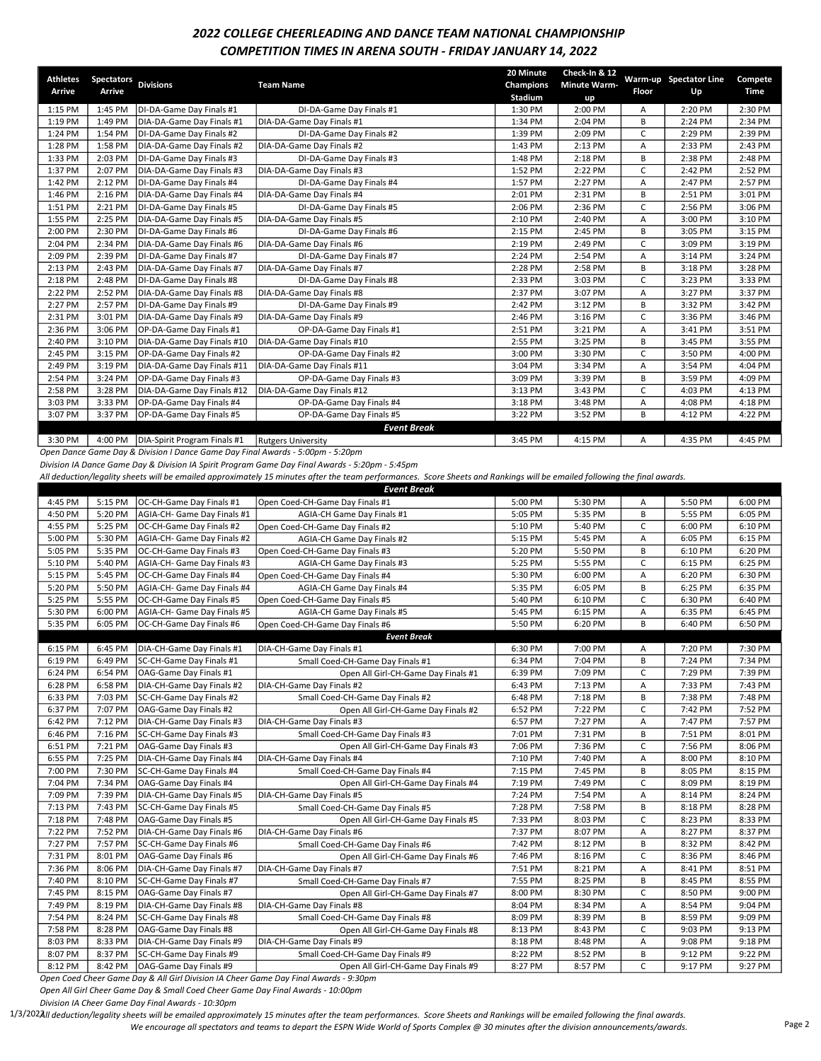## 2022 COLLEGE CHEERLEADING AND DANCE TEAM NATIONAL CHAMPIONSHIP COMPETITION TIMES IN ARENA SOUTH - FRIDAY JANUARY 14, 2022

| <b>Athletes</b><br>Arrive | <b>Spectators</b><br>Arrive | <b>Divisions</b>             | <b>Team Name</b>           | 20 Minute<br>Champions<br>Stadium | Check-In & 12<br><b>Minute Warm-</b><br>up | Floor | Warm-up Spectator Line<br>Up | Compete<br>Time |
|---------------------------|-----------------------------|------------------------------|----------------------------|-----------------------------------|--------------------------------------------|-------|------------------------------|-----------------|
| 1:15 PM                   | 1:45 PM                     | DI-DA-Game Day Finals #1     | DI-DA-Game Day Finals #1   | 1:30 PM                           | 2:00 PM                                    | A     | 2:20 PM                      | 2:30 PM         |
| 1:19 PM                   | 1:49 PM                     | DIA-DA-Game Day Finals #1    | DIA-DA-Game Day Finals #1  | 1:34 PM                           | 2:04 PM                                    | B     | 2:24 PM                      | 2:34 PM         |
| 1:24 PM                   | 1:54 PM                     | DI-DA-Game Day Finals #2     | DI-DA-Game Dav Finals #2   | 1:39 PM                           | 2:09 PM                                    | C     | 2:29 PM                      | 2:39 PM         |
| 1:28 PM                   | 1:58 PM                     | DIA-DA-Game Day Finals #2    | DIA-DA-Game Day Finals #2  | 1:43 PM                           | 2:13 PM                                    | А     | 2:33 PM                      | 2:43 PM         |
| 1:33 PM                   | 2:03 PM                     | DI-DA-Game Day Finals #3     | DI-DA-Game Day Finals #3   | 1:48 PM                           | 2:18 PM                                    | B     | 2:38 PM                      | 2:48 PM         |
| 1:37 PM                   | 2:07 PM                     | DIA-DA-Game Day Finals #3    | DIA-DA-Game Day Finals #3  | 1:52 PM                           | 2:22 PM                                    | C     | 2:42 PM                      | 2:52 PM         |
| 1:42 PM                   | 2:12 PM                     | DI-DA-Game Day Finals #4     | DI-DA-Game Day Finals #4   | 1:57 PM                           | 2:27 PM                                    | Α     | 2:47 PM                      | 2:57 PM         |
| 1:46 PM                   | 2:16 PM                     | DIA-DA-Game Day Finals #4    | DIA-DA-Game Day Finals #4  | 2:01 PM                           | 2:31 PM                                    | B     | 2:51 PM                      | 3:01 PM         |
| 1:51 PM                   | 2:21 PM                     | DI-DA-Game Day Finals #5     | DI-DA-Game Day Finals #5   | 2:06 PM                           | 2:36 PM                                    | C     | 2:56 PM                      | 3:06 PM         |
| 1:55 PM                   | 2:25 PM                     | DIA-DA-Game Day Finals #5    | DIA-DA-Game Day Finals #5  | 2:10 PM                           | 2:40 PM                                    | A     | 3:00 PM                      | 3:10 PM         |
| 2:00 PM                   | 2:30 PM                     | DI-DA-Game Day Finals #6     | DI-DA-Game Day Finals #6   | 2:15 PM                           | 2:45 PM                                    | B     | 3:05 PM                      | 3:15 PM         |
| 2:04 PM                   | 2:34 PM                     | DIA-DA-Game Day Finals #6    | DIA-DA-Game Day Finals #6  | 2:19 PM                           | 2:49 PM                                    | C     | 3:09 PM                      | 3:19 PM         |
| 2:09 PM                   | 2:39 PM                     | DI-DA-Game Day Finals #7     | DI-DA-Game Day Finals #7   | 2:24 PM                           | 2:54 PM                                    | Α     | 3:14 PM                      | 3:24 PM         |
| 2:13 PM                   | 2:43 PM                     | DIA-DA-Game Day Finals #7    | DIA-DA-Game Day Finals #7  | 2:28 PM                           | 2:58 PM                                    | B     | 3:18 PM                      | 3:28 PM         |
| 2:18 PM                   | 2:48 PM                     | DI-DA-Game Day Finals #8     | DI-DA-Game Day Finals #8   | 2:33 PM                           | 3:03 PM                                    | C     | 3:23 PM                      | 3:33 PM         |
| 2:22 PM                   | 2:52 PM                     | DIA-DA-Game Day Finals #8    | DIA-DA-Game Day Finals #8  | 2:37 PM                           | 3:07 PM                                    | A     | 3:27 PM                      | 3:37 PM         |
| 2:27 PM                   | 2:57 PM                     | DI-DA-Game Day Finals #9     | DI-DA-Game Day Finals #9   | 2:42 PM                           | 3:12 PM                                    | B     | 3:32 PM                      | 3:42 PM         |
| 2:31 PM                   | 3:01 PM                     | DIA-DA-Game Day Finals #9    | DIA-DA-Game Day Finals #9  | 2:46 PM                           | 3:16 PM                                    | C     | 3:36 PM                      | 3:46 PM         |
| 2:36 PM                   | 3:06 PM                     | OP-DA-Game Day Finals #1     | OP-DA-Game Day Finals #1   | 2:51 PM                           | 3:21 PM                                    | A     | 3:41 PM                      | 3:51 PM         |
| 2:40 PM                   | 3:10 PM                     | DIA-DA-Game Day Finals #10   | DIA-DA-Game Day Finals #10 | 2:55 PM                           | 3:25 PM                                    | B     | 3:45 PM                      | 3:55 PM         |
| 2:45 PM                   | 3:15 PM                     | OP-DA-Game Day Finals #2     | OP-DA-Game Day Finals #2   | 3:00 PM                           | 3:30 PM                                    | C     | 3:50 PM                      | 4:00 PM         |
| 2:49 PM                   | 3:19 PM                     | DIA-DA-Game Day Finals #11   | DIA-DA-Game Day Finals #11 | 3:04 PM                           | 3:34 PM                                    | A     | 3:54 PM                      | 4:04 PM         |
| 2:54 PM                   | 3:24 PM                     | OP-DA-Game Day Finals #3     | OP-DA-Game Day Finals #3   | 3:09 PM                           | 3:39 PM                                    | В     | 3:59 PM                      | 4:09 PM         |
| 2:58 PM                   | 3:28 PM                     | DIA-DA-Game Day Finals #12   | DIA-DA-Game Day Finals #12 | 3:13 PM                           | 3:43 PM                                    | C     | 4:03 PM                      | 4:13 PM         |
| 3:03 PM                   | 3:33 PM                     | OP-DA-Game Day Finals #4     | OP-DA-Game Day Finals #4   | 3:18 PM                           | 3:48 PM                                    | А     | 4:08 PM                      | 4:18 PM         |
| 3:07 PM                   | 3:37 PM                     | OP-DA-Game Day Finals #5     | OP-DA-Game Day Finals #5   | 3:22 PM                           | 3:52 PM                                    | В     | 4:12 PM                      | 4:22 PM         |
|                           |                             |                              | <b>Event Break</b>         |                                   |                                            |       |                              |                 |
| 3:30 PM                   | 4:00 PM                     | DIA-Spirit Program Finals #1 | <b>Rutgers University</b>  | 3:45 PM                           | 4:15 PM                                    | A     | 4:35 PM                      | 4:45 PM         |

Open Dance Game Day & Division I Dance Game Day Final Awards - 5:00pm - 5:20pm

Division IA Dance Game Day & Division IA Spirit Program Game Day Final Awards - 5:20pm - 5:45pm

All deduction/legality sheets will be emailed approximately 15 minutes after the team performances. Score Sheets and Rankings will be emailed following the final awards.

| <b>Event Break</b>  |                      |                             |                                                                                         |         |         |              |         |         |  |
|---------------------|----------------------|-----------------------------|-----------------------------------------------------------------------------------------|---------|---------|--------------|---------|---------|--|
| 4:45 PM             | 5:15 PM              | OC-CH-Game Day Finals #1    | Open Coed-CH-Game Day Finals #1                                                         | 5:00 PM | 5:30 PM | A            | 5:50 PM | 6:00 PM |  |
| 4:50 PM             | 5:20 PM              | AGIA-CH- Game Day Finals #1 | AGIA-CH Game Day Finals #1                                                              | 5:05 PM | 5:35 PM | B            | 5:55 PM | 6:05 PM |  |
| 4:55 PM             | 5:25 PM              | OC-CH-Game Day Finals #2    | Open Coed-CH-Game Day Finals #2                                                         | 5:10 PM | 5:40 PM | C            | 6:00 PM | 6:10 PM |  |
| 5:00 PM             | 5:30 PM              | AGIA-CH- Game Day Finals #2 | AGIA-CH Game Day Finals #2                                                              | 5:15 PM | 5:45 PM | Α            | 6:05 PM | 6:15 PM |  |
| 5:05 PM             | 5:35 PM              | OC-CH-Game Day Finals #3    | Open Coed-CH-Game Day Finals #3                                                         | 5:20 PM | 5:50 PM | B            | 6:10 PM | 6:20 PM |  |
| 5:10 PM             | 5:40 PM              | AGIA-CH- Game Day Finals #3 | AGIA-CH Game Day Finals #3                                                              | 5:25 PM | 5:55 PM | $\mathsf{C}$ | 6:15 PM | 6:25 PM |  |
| 5:15 PM             | 5:45 PM              | OC-CH-Game Day Finals #4    | Open Coed-CH-Game Day Finals #4                                                         | 5:30 PM | 6:00 PM | A            | 6:20 PM | 6:30 PM |  |
| 5:20 PM             | 5:50 PM              | AGIA-CH- Game Day Finals #4 | AGIA-CH Game Day Finals #4                                                              | 5:35 PM | 6:05 PM | B            | 6:25 PM | 6:35 PM |  |
| 5:25 PM             | 5:55 PM              | OC-CH-Game Day Finals #5    | Open Coed-CH-Game Day Finals #5                                                         | 5:40 PM | 6:10 PM | $\mathsf{C}$ | 6:30 PM | 6:40 PM |  |
| 5:30 PM             | 6:00 PM              | AGIA-CH- Game Day Finals #5 | AGIA-CH Game Day Finals #5                                                              | 5:45 PM | 6:15 PM | Α            | 6:35 PM | 6:45 PM |  |
| 5:35 PM             | 6:05 PM              | OC-CH-Game Day Finals #6    | Open Coed-CH-Game Day Finals #6                                                         | 5:50 PM | 6:20 PM | B            | 6:40 PM | 6:50 PM |  |
|                     |                      |                             | <b>Event Break</b>                                                                      |         |         |              |         |         |  |
| 6:15 PM             | 6:45 PM              | DIA-CH-Game Day Finals #1   | DIA-CH-Game Day Finals #1                                                               | 6:30 PM | 7:00 PM | Α            | 7:20 PM | 7:30 PM |  |
| 6:19 PM             | 6:49 PM              | SC-CH-Game Day Finals #1    | Small Coed-CH-Game Day Finals #1                                                        | 6:34 PM | 7:04 PM | B            | 7:24 PM | 7:34 PM |  |
| 6:24 PM             | 6:54 PM              | OAG-Game Day Finals #1      | Open All Girl-CH-Game Day Finals #1                                                     | 6:39 PM | 7:09 PM | $\mathsf{C}$ | 7:29 PM | 7:39 PM |  |
| 6:28 PM             | 6:58 PM              | DIA-CH-Game Day Finals #2   | DIA-CH-Game Day Finals #2                                                               | 6:43 PM | 7:13 PM | Α            | 7:33 PM | 7:43 PM |  |
| 6:33 PM             | 7:03 PM              | SC-CH-Game Day Finals #2    | Small Coed-CH-Game Day Finals #2                                                        | 6:48 PM | 7:18 PM | B            | 7:38 PM | 7:48 PM |  |
| 6:37 PM             | 7:07 PM              | OAG-Game Day Finals #2      | Open All Girl-CH-Game Day Finals #2                                                     | 6:52 PM | 7:22 PM | C            | 7:42 PM | 7:52 PM |  |
| 6:42 PM             | 7:12 PM              | DIA-CH-Game Day Finals #3   | DIA-CH-Game Day Finals #3                                                               | 6:57 PM | 7:27 PM | A            | 7:47 PM | 7:57 PM |  |
| 6:46 PM             | 7:16 PM              | SC-CH-Game Day Finals #3    | Small Coed-CH-Game Day Finals #3                                                        | 7:01 PM | 7:31 PM | B            | 7:51 PM | 8:01 PM |  |
| 6:51 PM             | 7:21 PM              | OAG-Game Day Finals #3      | Open All Girl-CH-Game Day Finals #3                                                     | 7:06 PM | 7:36 PM | $\mathsf{C}$ | 7:56 PM | 8:06 PM |  |
| 6:55 PM             | 7:25 PM              | DIA-CH-Game Day Finals #4   | DIA-CH-Game Day Finals #4                                                               | 7:10 PM | 7:40 PM | Α            | 8:00 PM | 8:10 PM |  |
| 7:00 PM             | 7:30 PM              | SC-CH-Game Day Finals #4    | Small Coed-CH-Game Day Finals #4                                                        | 7:15 PM | 7:45 PM | В            | 8:05 PM | 8:15 PM |  |
| 7:04 PM             | 7:34 PM              | OAG-Game Day Finals #4      | Open All Girl-CH-Game Day Finals #4                                                     | 7:19 PM | 7:49 PM | C            | 8:09 PM | 8:19 PM |  |
| 7:09 PM             | 7:39 PM              | DIA-CH-Game Day Finals #5   | DIA-CH-Game Day Finals #5                                                               | 7:24 PM | 7:54 PM | Α            | 8:14 PM | 8:24 PM |  |
| 7:13 PM             | 7:43 PM              | SC-CH-Game Day Finals #5    | Small Coed-CH-Game Day Finals #5                                                        | 7:28 PM | 7:58 PM | B            | 8:18 PM | 8:28 PM |  |
| 7:18 PM             | 7:48 PM              | OAG-Game Day Finals #5      | Open All Girl-CH-Game Day Finals #5                                                     | 7:33 PM | 8:03 PM | C            | 8:23 PM | 8:33 PM |  |
| 7:22 PM             | 7:52 PM              | DIA-CH-Game Day Finals #6   | DIA-CH-Game Day Finals #6                                                               | 7:37 PM | 8:07 PM | А            | 8:27 PM | 8:37 PM |  |
| 7:27 PM             | 7:57 PM              | SC-CH-Game Day Finals #6    | Small Coed-CH-Game Day Finals #6                                                        | 7:42 PM | 8:12 PM | B            | 8:32 PM | 8:42 PM |  |
| 7:31 PM             | 8:01 PM              | OAG-Game Day Finals #6      | Open All Girl-CH-Game Day Finals #6                                                     | 7:46 PM | 8:16 PM | C            | 8:36 PM | 8:46 PM |  |
| 7:36 PM             | 8:06 PM              | DIA-CH-Game Day Finals #7   | DIA-CH-Game Day Finals #7                                                               | 7:51 PM | 8:21 PM | Α            | 8:41 PM | 8:51 PM |  |
| 7:40 PM             | 8:10 PM              | SC-CH-Game Day Finals #7    | Small Coed-CH-Game Day Finals #7                                                        | 7:55 PM | 8:25 PM | В            | 8:45 PM | 8:55 PM |  |
| 7:45 PM             | 8:15 PM              | OAG-Game Day Finals #7      | Open All Girl-CH-Game Day Finals #7                                                     | 8:00 PM | 8:30 PM | $\mathsf{C}$ | 8:50 PM | 9:00 PM |  |
| 7:49 PM             | 8:19 PM              | DIA-CH-Game Day Finals #8   | DIA-CH-Game Day Finals #8                                                               | 8:04 PM | 8:34 PM | A            | 8:54 PM | 9:04 PM |  |
| 7:54 PM             | 8:24 PM              | SC-CH-Game Day Finals #8    | Small Coed-CH-Game Day Finals #8                                                        | 8:09 PM | 8:39 PM | B            | 8:59 PM | 9:09 PM |  |
| 7:58 PM             | 8:28 PM              | OAG-Game Day Finals #8      | Open All Girl-CH-Game Day Finals #8                                                     | 8:13 PM | 8:43 PM | C            | 9:03 PM | 9:13 PM |  |
| 8:03 PM             | 8:33 PM              | DIA-CH-Game Day Finals #9   | DIA-CH-Game Day Finals #9                                                               | 8:18 PM | 8:48 PM | Α            | 9:08 PM | 9:18 PM |  |
| 8:07 PM             | 8:37 PM              | SC-CH-Game Day Finals #9    | Small Coed-CH-Game Day Finals #9                                                        | 8:22 PM | 8:52 PM | B            | 9:12 PM | 9:22 PM |  |
| 8:12 PM<br>$C = -1$ | 8:42 PM<br>$- - - -$ | OAG-Game Day Finals #9      | Open All Girl-CH-Game Day Finals #9<br>$\sim$ Course David Could include $\sim$ 0.00 cm | 8:27 PM | 8:57 PM | $\mathsf{C}$ | 9:17 PM | 9:27 PM |  |

Open Coed Cheer Game Day & All Girl Division IA Cheer Game Day Final Awards - 9:30pm

Open All Girl Cheer Game Day & Small Coed Cheer Game Day Final Awards - 10:00pm

Division IA Cheer Game Day Final Awards - 10:30pm

1/3/202AII deduction/legality sheets will be emailed approximately 15 minutes after the team performances. Score Sheets and Rankings will be emailed following the final awards.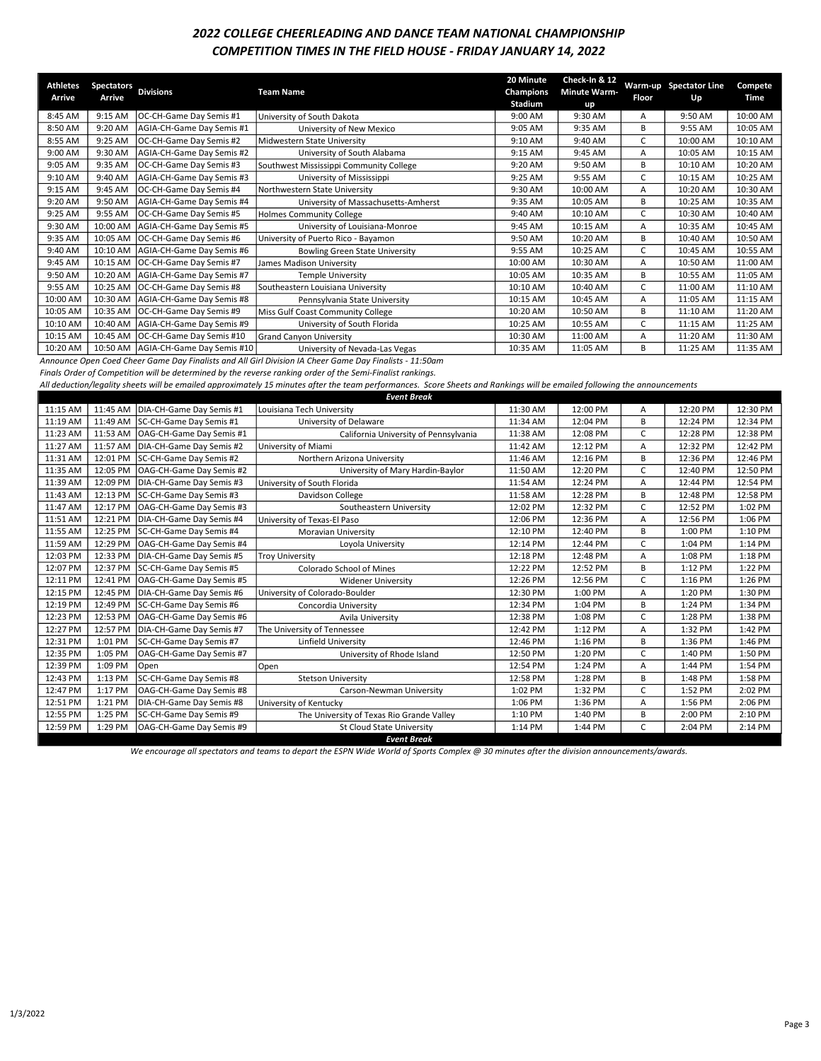# 2022 COLLEGE CHEERLEADING AND DANCE TEAM NATIONAL CHAMPIONSHIP COMPETITION TIMES IN THE FIELD HOUSE - FRIDAY JANUARY 14, 2022

| <b>Athletes</b><br>Arrive | <b>Spectators</b><br>Arrive | <b>Divisions</b>                      | <b>Team Name</b>                        | 20 Minute<br>Champions<br>Stadium | Check-In & 12<br><b>Minute Warm-</b><br>up | Floor | Warm-up Spectator Line<br>Up | Compete<br>Time |
|---------------------------|-----------------------------|---------------------------------------|-----------------------------------------|-----------------------------------|--------------------------------------------|-------|------------------------------|-----------------|
| 8:45 AM                   | 9:15 AM                     | OC-CH-Game Day Semis #1               | University of South Dakota              | 9:00 AM                           | 9:30 AM                                    | Α     | 9:50 AM                      | 10:00 AM        |
| 8:50 AM                   | 9:20 AM                     | AGIA-CH-Game Day Semis #1             | University of New Mexico                | 9:05 AM                           | 9:35 AM                                    | B     | 9:55 AM                      | 10:05 AM        |
| 8:55 AM                   | 9:25 AM                     | OC-CH-Game Day Semis #2               | Midwestern State University             | 9:10 AM                           | 9:40 AM                                    |       | 10:00 AM                     | 10:10 AM        |
| 9:00 AM                   | 9:30 AM                     | AGIA-CH-Game Day Semis #2             | University of South Alabama             | 9:15 AM                           | 9:45 AM                                    | А     | 10:05 AM                     | 10:15 AM        |
| 9:05 AM                   | 9:35 AM                     | OC-CH-Game Day Semis #3               | Southwest Mississippi Community College | 9:20 AM                           | 9:50 AM                                    | В     | 10:10 AM                     | 10:20 AM        |
| 9:10 AM                   | 9:40 AM                     | AGIA-CH-Game Day Semis #3             | University of Mississippi               | 9:25 AM                           | 9:55 AM                                    | C     | 10:15 AM                     | 10:25 AM        |
| 9:15 AM                   | 9:45 AM                     | OC-CH-Game Day Semis #4               | Northwestern State University           | 9:30 AM                           | 10:00 AM                                   | А     | 10:20 AM                     | 10:30 AM        |
| 9:20 AM                   | 9:50 AM                     | AGIA-CH-Game Day Semis #4             | University of Massachusetts-Amherst     | 9:35 AM                           | 10:05 AM                                   | B     | 10:25 AM                     | 10:35 AM        |
| 9:25 AM                   | 9:55 AM                     | OC-CH-Game Day Semis #5               | Holmes Community College                | 9:40 AM                           | 10:10 AM                                   |       | 10:30 AM                     | 10:40 AM        |
| 9:30 AM                   | 10:00 AM                    | AGIA-CH-Game Day Semis #5             | University of Louisiana-Monroe          | 9:45 AM                           | 10:15 AM                                   | A     | 10:35 AM                     | 10:45 AM        |
| 9:35 AM                   | 10:05 AM                    | OC-CH-Game Day Semis #6               | University of Puerto Rico - Bayamon     | 9:50 AM                           | 10:20 AM                                   | B     | 10:40 AM                     | 10:50 AM        |
| 9:40 AM                   | 10:10 AM                    | AGIA-CH-Game Day Semis #6             | <b>Bowling Green State University</b>   | 9:55 AM                           | 10:25 AM                                   |       | 10:45 AM                     | 10:55 AM        |
| 9:45 AM                   | 10:15 AM                    | OC-CH-Game Day Semis #7               | James Madison University                | 10:00 AM                          | 10:30 AM                                   | A     | 10:50 AM                     | 11:00 AM        |
| 9:50 AM                   | 10:20 AM                    | AGIA-CH-Game Day Semis #7             | <b>Temple University</b>                | 10:05 AM                          | 10:35 AM                                   | B     | 10:55 AM                     | 11:05 AM        |
| 9:55 AM                   | 10:25 AM                    | OC-CH-Game Day Semis #8               | Southeastern Louisiana University       | 10:10 AM                          | 10:40 AM                                   |       | 11:00 AM                     | 11:10 AM        |
| 10:00 AM                  | 10:30 AM                    | AGIA-CH-Game Day Semis #8             | Pennsylvania State University           | 10:15 AM                          | 10:45 AM                                   | A     | 11:05 AM                     | 11:15 AM        |
| 10:05 AM                  | 10:35 AM                    | OC-CH-Game Day Semis #9               | Miss Gulf Coast Community College       | 10:20 AM                          | 10:50 AM                                   | B     | 11:10 AM                     | 11:20 AM        |
| 10:10 AM                  | 10:40 AM                    | AGIA-CH-Game Day Semis #9             | University of South Florida             | 10:25 AM                          | 10:55 AM                                   | C     | 11:15 AM                     | 11:25 AM        |
| 10:15 AM                  | 10:45 AM                    | OC-CH-Game Day Semis #10              | <b>Grand Canyon University</b>          | 10:30 AM                          | 11:00 AM                                   | А     | 11:20 AM                     | 11:30 AM        |
| 10:20 AM                  |                             | 10:50 AM   AGIA-CH-Game Day Semis #10 | University of Nevada-Las Vegas          | 10:35 AM                          | 11:05 AM                                   | В     | 11:25 AM                     | 11:35 AM        |

Announce Open Coed Cheer Game Day Finalists and All Girl Division IA Cheer Game Day Finalists - 11:50am

Finals Order of Competition will be determined by the reverse ranking order of the Semi-Finalist rankings.

All deduction/legality sheets will be emailed approximately 15 minutes after the team performances. Score Sheets and Rankings will be emailed following the announcements

|          |          |                                     | <b>Event Break</b>                        |          |          |    |          |          |
|----------|----------|-------------------------------------|-------------------------------------------|----------|----------|----|----------|----------|
| 11:15 AM |          | 11:45 AM   DIA-CH-Game Day Semis #1 | Louisiana Tech University                 | 11:30 AM | 12:00 PM | А  | 12:20 PM | 12:30 PM |
| 11:19 AM | 11:49 AM | SC-CH-Game Day Semis #1             | University of Delaware                    | 11:34 AM | 12:04 PM | B  | 12:24 PM | 12:34 PM |
| 11:23 AM | 11:53 AM | OAG-CH-Game Day Semis #1            | California University of Pennsylvania     | 11:38 AM | 12:08 PM | C  | 12:28 PM | 12:38 PM |
| 11:27 AM | 11:57 AM | DIA-CH-Game Day Semis #2            | University of Miami                       | 11:42 AM | 12:12 PM | А  | 12:32 PM | 12:42 PM |
| 11:31 AM | 12:01 PM | SC-CH-Game Day Semis #2             | Northern Arizona University               | 11:46 AM | 12:16 PM | B  | 12:36 PM | 12:46 PM |
| 11:35 AM | 12:05 PM | OAG-CH-Game Day Semis #2            | University of Mary Hardin-Baylor          | 11:50 AM | 12:20 PM | C  | 12:40 PM | 12:50 PM |
| 11:39 AM | 12:09 PM | DIA-CH-Game Day Semis #3            | University of South Florida               | 11:54 AM | 12:24 PM | А  | 12:44 PM | 12:54 PM |
| 11:43 AM | 12:13 PM | SC-CH-Game Day Semis #3             | Davidson College                          | 11:58 AM | 12:28 PM | B  | 12:48 PM | 12:58 PM |
| 11:47 AM | 12:17 PM | OAG-CH-Game Day Semis #3            | Southeastern University                   | 12:02 PM | 12:32 PM | C. | 12:52 PM | 1:02 PM  |
| 11:51 AM | 12:21 PM | DIA-CH-Game Day Semis #4            | University of Texas-El Paso               | 12:06 PM | 12:36 PM | А  | 12:56 PM | 1:06 PM  |
| 11:55 AM | 12:25 PM | SC-CH-Game Day Semis #4             | Moravian University                       | 12:10 PM | 12:40 PM | B  | 1:00 PM  | 1:10 PM  |
| 11:59 AM | 12:29 PM | OAG-CH-Game Day Semis #4            | Loyola University                         | 12:14 PM | 12:44 PM | C  | 1:04 PM  | 1:14 PM  |
| 12:03 PM | 12:33 PM | DIA-CH-Game Day Semis #5            | <b>Troy University</b>                    | 12:18 PM | 12:48 PM | А  | 1:08 PM  | 1:18 PM  |
| 12:07 PM | 12:37 PM | SC-CH-Game Day Semis #5             | Colorado School of Mines                  | 12:22 PM | 12:52 PM | B  | 1:12 PM  | 1:22 PM  |
| 12:11 PM | 12:41 PM | OAG-CH-Game Day Semis #5            | <b>Widener University</b>                 | 12:26 PM | 12:56 PM | C. | 1:16 PM  | 1:26 PM  |
| 12:15 PM | 12:45 PM | DIA-CH-Game Day Semis #6            | University of Colorado-Boulder            | 12:30 PM | 1:00 PM  | A  | 1:20 PM  | 1:30 PM  |
| 12:19 PM | 12:49 PM | SC-CH-Game Day Semis #6             | Concordia University                      | 12:34 PM | 1:04 PM  | B  | 1:24 PM  | 1:34 PM  |
| 12:23 PM | 12:53 PM | OAG-CH-Game Day Semis #6            | Avila University                          | 12:38 PM | 1:08 PM  | C  | 1:28 PM  | 1:38 PM  |
| 12:27 PM | 12:57 PM | DIA-CH-Game Day Semis #7            | The University of Tennessee               | 12:42 PM | 1:12 PM  | А  | 1:32 PM  | 1:42 PM  |
| 12:31 PM | 1:01 PM  | SC-CH-Game Day Semis #7             | Linfield University                       | 12:46 PM | 1:16 PM  | B  | 1:36 PM  | 1:46 PM  |
| 12:35 PM | 1:05 PM  | OAG-CH-Game Day Semis #7            | University of Rhode Island                | 12:50 PM | 1:20 PM  | C  | 1:40 PM  | 1:50 PM  |
| 12:39 PM | 1:09 PM  | Open                                | Open                                      | 12:54 PM | 1:24 PM  | А  | 1:44 PM  | 1:54 PM  |
| 12:43 PM | 1:13 PM  | SC-CH-Game Day Semis #8             | <b>Stetson University</b>                 | 12:58 PM | 1:28 PM  | B  | 1:48 PM  | 1:58 PM  |
| 12:47 PM | 1:17 PM  | OAG-CH-Game Day Semis #8            | Carson-Newman University                  | 1:02 PM  | 1:32 PM  | C  | 1:52 PM  | 2:02 PM  |
| 12:51 PM | 1:21 PM  | DIA-CH-Game Day Semis #8            | University of Kentucky                    | 1:06 PM  | 1:36 PM  | А  | 1:56 PM  | 2:06 PM  |
| 12:55 PM | 1:25 PM  | SC-CH-Game Day Semis #9             | The University of Texas Rio Grande Valley | 1:10 PM  | 1:40 PM  | B  | 2:00 PM  | 2:10 PM  |
| 12:59 PM | 1:29 PM  | OAG-CH-Game Day Semis #9            | <b>St Cloud State University</b>          | 1:14 PM  | 1:44 PM  | C  | 2:04 PM  | 2:14 PM  |
|          |          |                                     | <b>Event Break</b>                        |          |          |    |          |          |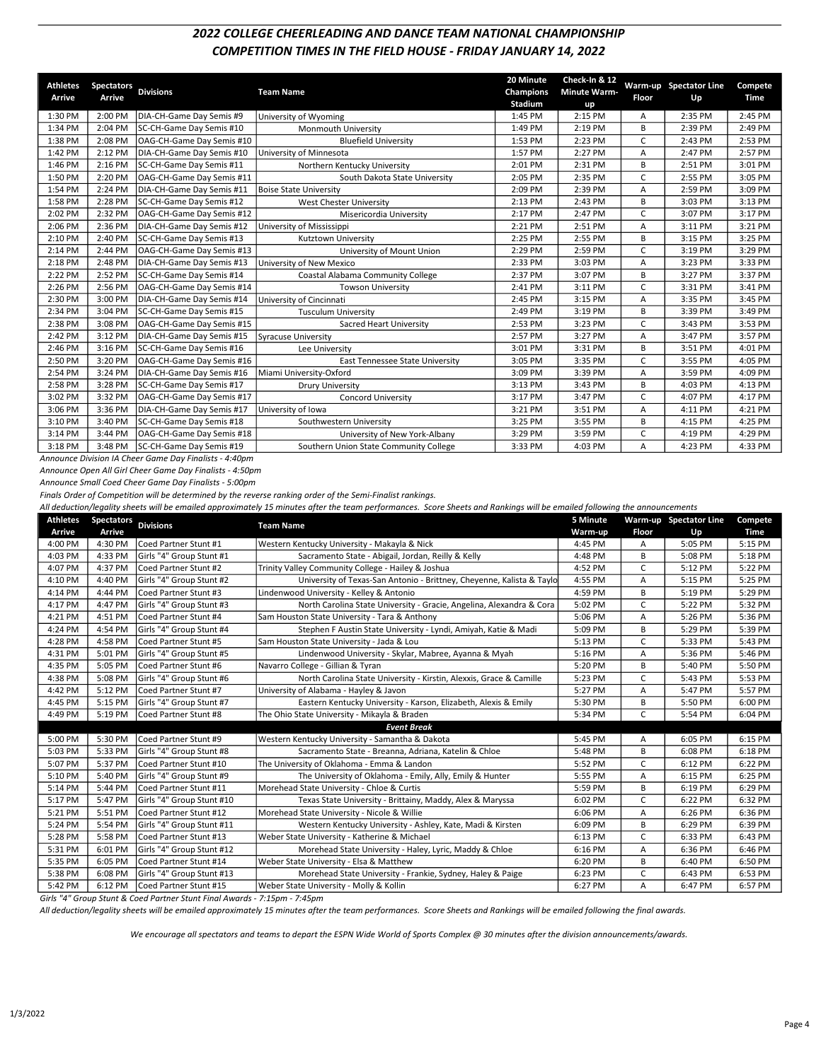## 2022 COLLEGE CHEERLEADING AND DANCE TEAM NATIONAL CHAMPIONSHIP COMPETITION TIMES IN THE FIELD HOUSE - FRIDAY JANUARY 14, 2022

| <b>Athletes</b><br><b>Arrive</b> | <b>Spectators</b><br>Arrive | <b>Divisions</b>          | <b>Team Name</b>                       | 20 Minute<br>Champions<br>Stadium | Check-In & 12<br><b>Minute Warm-</b><br>up | Floor | Warm-up Spectator Line<br>Up | Compete<br>Time |
|----------------------------------|-----------------------------|---------------------------|----------------------------------------|-----------------------------------|--------------------------------------------|-------|------------------------------|-----------------|
| 1:30 PM                          | 2:00 PM                     | DIA-CH-Game Day Semis #9  | University of Wyoming                  | 1:45 PM                           | 2:15 PM                                    | А     | 2:35 PM                      | 2:45 PM         |
| 1:34 PM                          | 2:04 PM                     | SC-CH-Game Day Semis #10  | <b>Monmouth University</b>             | 1:49 PM                           | 2:19 PM                                    | B     | 2:39 PM                      | 2:49 PM         |
| 1:38 PM                          | 2:08 PM                     | OAG-CH-Game Day Semis #10 | <b>Bluefield University</b>            | 1:53 PM                           | 2:23 PM                                    | C     | 2:43 PM                      | 2:53 PM         |
| 1:42 PM                          | 2:12 PM                     | DIA-CH-Game Day Semis #10 | University of Minnesota                | 1:57 PM                           | 2:27 PM                                    | А     | 2:47 PM                      | 2:57 PM         |
| 1:46 PM                          | 2:16 PM                     | SC-CH-Game Day Semis #11  | Northern Kentucky University           | 2:01 PM                           | 2:31 PM                                    | В     | 2:51 PM                      | 3:01 PM         |
| 1:50 PM                          | 2:20 PM                     | OAG-CH-Game Day Semis #11 | South Dakota State University          | 2:05 PM                           | 2:35 PM                                    | C.    | 2:55 PM                      | 3:05 PM         |
| 1:54 PM                          | 2:24 PM                     | DIA-CH-Game Day Semis #11 | <b>Boise State University</b>          | 2:09 PM                           | 2:39 PM                                    | A     | 2:59 PM                      | 3:09 PM         |
| 1:58 PM                          | 2:28 PM                     | SC-CH-Game Day Semis #12  | West Chester University                | 2:13 PM                           | 2:43 PM                                    | В     | 3:03 PM                      | 3:13 PM         |
| 2:02 PM                          | 2:32 PM                     | OAG-CH-Game Day Semis #12 | Misericordia University                | 2:17 PM                           | 2:47 PM                                    | C     | 3:07 PM                      | 3:17 PM         |
| 2:06 PM                          | 2:36 PM                     | DIA-CH-Game Day Semis #12 | University of Mississippi              | 2:21 PM                           | 2:51 PM                                    | А     | 3:11 PM                      | 3:21 PM         |
| 2:10 PM                          | 2:40 PM                     | SC-CH-Game Day Semis #13  | Kutztown University                    | 2:25 PM                           | 2:55 PM                                    | В     | 3:15 PM                      | 3:25 PM         |
| 2:14 PM                          | 2:44 PM                     | OAG-CH-Game Day Semis #13 | University of Mount Union              | 2:29 PM                           | 2:59 PM                                    | C     | 3:19 PM                      | 3:29 PM         |
| 2:18 PM                          | 2:48 PM                     | DIA-CH-Game Day Semis #13 | University of New Mexico               | 2:33 PM                           | 3:03 PM                                    | А     | 3:23 PM                      | 3:33 PM         |
| 2:22 PM                          | 2:52 PM                     | SC-CH-Game Day Semis #14  | Coastal Alabama Community College      | 2:37 PM                           | 3:07 PM                                    | В     | 3:27 PM                      | 3:37 PM         |
| 2:26 PM                          | 2:56 PM                     | OAG-CH-Game Day Semis #14 | <b>Towson University</b>               | 2:41 PM                           | 3:11 PM                                    | C     | 3:31 PM                      | 3:41 PM         |
| 2:30 PM                          | 3:00 PM                     | DIA-CH-Game Day Semis #14 | University of Cincinnati               | 2:45 PM                           | 3:15 PM                                    | A     | 3:35 PM                      | 3:45 PM         |
| 2:34 PM                          | 3:04 PM                     | SC-CH-Game Day Semis #15  | <b>Tusculum University</b>             | 2:49 PM                           | 3:19 PM                                    | B     | 3:39 PM                      | 3:49 PM         |
| 2:38 PM                          | 3:08 PM                     | OAG-CH-Game Day Semis #15 | Sacred Heart University                | 2:53 PM                           | 3:23 PM                                    | C     | 3:43 PM                      | 3:53 PM         |
| 2:42 PM                          | 3:12 PM                     | DIA-CH-Game Day Semis #15 | Syracuse University                    | 2:57 PM                           | 3:27 PM                                    | A     | 3:47 PM                      | 3:57 PM         |
| 2:46 PM                          | 3:16 PM                     | SC-CH-Game Day Semis #16  | Lee University                         | 3:01 PM                           | 3:31 PM                                    | B     | 3:51 PM                      | 4:01 PM         |
| 2:50 PM                          | 3:20 PM                     | OAG-CH-Game Day Semis #16 | East Tennessee State University        | 3:05 PM                           | 3:35 PM                                    | C     | 3:55 PM                      | 4:05 PM         |
| 2:54 PM                          | 3:24 PM                     | DIA-CH-Game Day Semis #16 | Miami University-Oxford                | 3:09 PM                           | 3:39 PM                                    | A     | 3:59 PM                      | 4:09 PM         |
| 2:58 PM                          | 3:28 PM                     | SC-CH-Game Day Semis #17  | <b>Drury University</b>                | 3:13 PM                           | 3:43 PM                                    | B     | 4:03 PM                      | 4:13 PM         |
| 3:02 PM                          | 3:32 PM                     | OAG-CH-Game Day Semis #17 | <b>Concord University</b>              | 3:17 PM                           | 3:47 PM                                    | C     | 4:07 PM                      | 4:17 PM         |
| 3:06 PM                          | 3:36 PM                     | DIA-CH-Game Day Semis #17 | University of Iowa                     | 3:21 PM                           | 3:51 PM                                    | А     | 4:11 PM                      | 4:21 PM         |
| 3:10 PM                          | 3:40 PM                     | SC-CH-Game Day Semis #18  | Southwestern University                | 3:25 PM                           | 3:55 PM                                    | В     | 4:15 PM                      | 4:25 PM         |
| 3:14 PM                          | 3:44 PM                     | OAG-CH-Game Day Semis #18 | University of New York-Albany          | 3:29 PM                           | 3:59 PM                                    | C     | 4:19 PM                      | 4:29 PM         |
| 3:18 PM                          | 3:48 PM                     | SC-CH-Game Day Semis #19  | Southern Union State Community College | 3:33 PM                           | 4:03 PM                                    | A     | 4:23 PM                      | 4:33 PM         |

Announce Division IA Cheer Game Day Finalists - 4:40pm Announce Open All Girl Cheer Game Day Finalists - 4:50pm

Announce Small Coed Cheer Game Day Finalists - 5:00pm

Finals Order of Competition will be determined by the reverse ranking order of the Semi-Finalist rankings.

All deduction/legality sheets will be emailed approximately 15 minutes after the team performances. Score Sheets and Rankings will be emailed following the announcements

| <b>Athletes</b> | <b>Spectators</b> | <b>Divisions</b>          | <b>Team Name</b>                                                      | 5 Minute |              | Warm-up Spectator Line | Compete |
|-----------------|-------------------|---------------------------|-----------------------------------------------------------------------|----------|--------------|------------------------|---------|
| Arrive          | Arrive            |                           |                                                                       | Warm-up  | <b>Floor</b> | Up                     | Time    |
| 4:00 PM         | 4:30 PM           | Coed Partner Stunt #1     | Western Kentucky University - Makayla & Nick                          | 4:45 PM  | Α            | 5:05 PM                | 5:15 PM |
| 4:03 PM         | 4:33 PM           | Girls "4" Group Stunt #1  | Sacramento State - Abigail, Jordan, Reilly & Kelly                    | 4:48 PM  | В            | 5:08 PM                | 5:18 PM |
| 4:07 PM         | 4:37 PM           | lCoed Partner Stunt #2    | Trinity Valley Community College - Hailey & Joshua                    | 4:52 PM  | C            | 5:12 PM                | 5:22 PM |
| 4:10 PM         | 4:40 PM           | Girls "4" Group Stunt #2  | University of Texas-San Antonio - Brittney, Cheyenne, Kalista & Taylo | 4:55 PM  | A            | 5:15 PM                | 5:25 PM |
| 4:14 PM         | 4:44 PM           | Coed Partner Stunt #3     | Lindenwood University - Kelley & Antonio                              | 4:59 PM  | В            | 5:19 PM                | 5:29 PM |
| 4:17 PM         | 4:47 PM           | Girls "4" Group Stunt #3  | North Carolina State University - Gracie, Angelina, Alexandra & Cora  | 5:02 PM  | C            | 5:22 PM                | 5:32 PM |
| 4:21 PM         | 4:51 PM           | Coed Partner Stunt #4     | Sam Houston State University - Tara & Anthony                         | 5:06 PM  | A            | 5:26 PM                | 5:36 PM |
| 4:24 PM         | 4:54 PM           | Girls "4" Group Stunt #4  | Stephen F Austin State University - Lyndi, Amiyah, Katie & Madi       | 5:09 PM  | B            | 5:29 PM                | 5:39 PM |
| 4:28 PM         | 4:58 PM           | Coed Partner Stunt #5     | Sam Houston State University - Jada & Lou                             | 5:13 PM  | C            | 5:33 PM                | 5:43 PM |
| 4:31 PM         | 5:01 PM           | Girls "4" Group Stunt #5  | Lindenwood University - Skylar, Mabree, Ayanna & Myah                 | 5:16 PM  | A            | 5:36 PM                | 5:46 PM |
| 4:35 PM         | 5:05 PM           | Coed Partner Stunt #6     | Navarro College - Gillian & Tyran                                     | 5:20 PM  | B            | 5:40 PM                | 5:50 PM |
| 4:38 PM         | 5:08 PM           | Girls "4" Group Stunt #6  | North Carolina State University - Kirstin, Alexxis, Grace & Camille   | 5:23 PM  | C            | 5:43 PM                | 5:53 PM |
| 4:42 PM         | 5:12 PM           | Coed Partner Stunt #7     | University of Alabama - Hayley & Javon                                | 5:27 PM  | A            | 5:47 PM                | 5:57 PM |
| 4:45 PM         | 5:15 PM           | Girls "4" Group Stunt #7  | Eastern Kentucky University - Karson, Elizabeth, Alexis & Emily       | 5:30 PM  | B            | 5:50 PM                | 6:00 PM |
| 4:49 PM         | 5:19 PM           | Coed Partner Stunt #8     | The Ohio State University - Mikayla & Braden                          | 5:34 PM  | $\mathsf{C}$ | 5:54 PM                | 6:04 PM |
|                 |                   |                           | <b>Event Break</b>                                                    |          |              |                        |         |
| 5:00 PM         | 5:30 PM           | Coed Partner Stunt #9     | Western Kentucky University - Samantha & Dakota                       | 5:45 PM  | A            | 6:05 PM                | 6:15 PM |
| 5:03 PM         | 5:33 PM           | Girls "4" Group Stunt #8  | Sacramento State - Breanna, Adriana, Katelin & Chloe                  | 5:48 PM  | B            | 6:08 PM                | 6:18 PM |
| 5:07 PM         | 5:37 PM           | Coed Partner Stunt #10    | The University of Oklahoma - Emma & Landon                            | 5:52 PM  | C            | 6:12 PM                | 6:22 PM |
| 5:10 PM         | 5:40 PM           | Girls "4" Group Stunt #9  | The University of Oklahoma - Emily, Ally, Emily & Hunter              | 5:55 PM  | A            | 6:15 PM                | 6:25 PM |
| 5:14 PM         | 5:44 PM           | Coed Partner Stunt #11    | Morehead State University - Chloe & Curtis                            | 5:59 PM  | B            | 6:19 PM                | 6:29 PM |
| 5:17 PM         | 5:47 PM           | Girls "4" Group Stunt #10 | Texas State University - Brittainy, Maddy, Alex & Maryssa             | 6:02 PM  | C.           | 6:22 PM                | 6:32 PM |
| 5:21 PM         | 5:51 PM           | Coed Partner Stunt #12    | Morehead State University - Nicole & Willie                           | 6:06 PM  | A            | 6:26 PM                | 6:36 PM |
| 5:24 PM         | 5:54 PM           | Girls "4" Group Stunt #11 | Western Kentucky University - Ashley, Kate, Madi & Kirsten            | 6:09 PM  | B            | 6:29 PM                | 6:39 PM |
| 5:28 PM         | 5:58 PM           | Coed Partner Stunt #13    | Weber State University - Katherine & Michael                          | 6:13 PM  | C            | 6:33 PM                | 6:43 PM |
| 5:31 PM         | 6:01 PM           | Girls "4" Group Stunt #12 | Morehead State University - Haley, Lyric, Maddy & Chloe               | 6:16 PM  | A            | 6:36 PM                | 6:46 PM |
| 5:35 PM         | 6:05 PM           | Coed Partner Stunt #14    | Weber State University - Elsa & Matthew                               | 6:20 PM  | B            | 6:40 PM                | 6:50 PM |
| 5:38 PM         | 6:08 PM           | Girls "4" Group Stunt #13 | Morehead State University - Frankie, Sydney, Haley & Paige            | 6:23 PM  | C            | 6:43 PM                | 6:53 PM |
| 5:42 PM         | 6:12 PM           | Coed Partner Stunt #15    | Weber State University - Molly & Kollin                               | 6:27 PM  | A            | 6:47 PM                | 6:57 PM |

Girls "4" Group Stunt & Coed Partner Stunt Final Awards - 7:15pm - 7:45pm

All deduction/legality sheets will be emailed approximately 15 minutes after the team performances. Score Sheets and Rankings will be emailed following the final awards.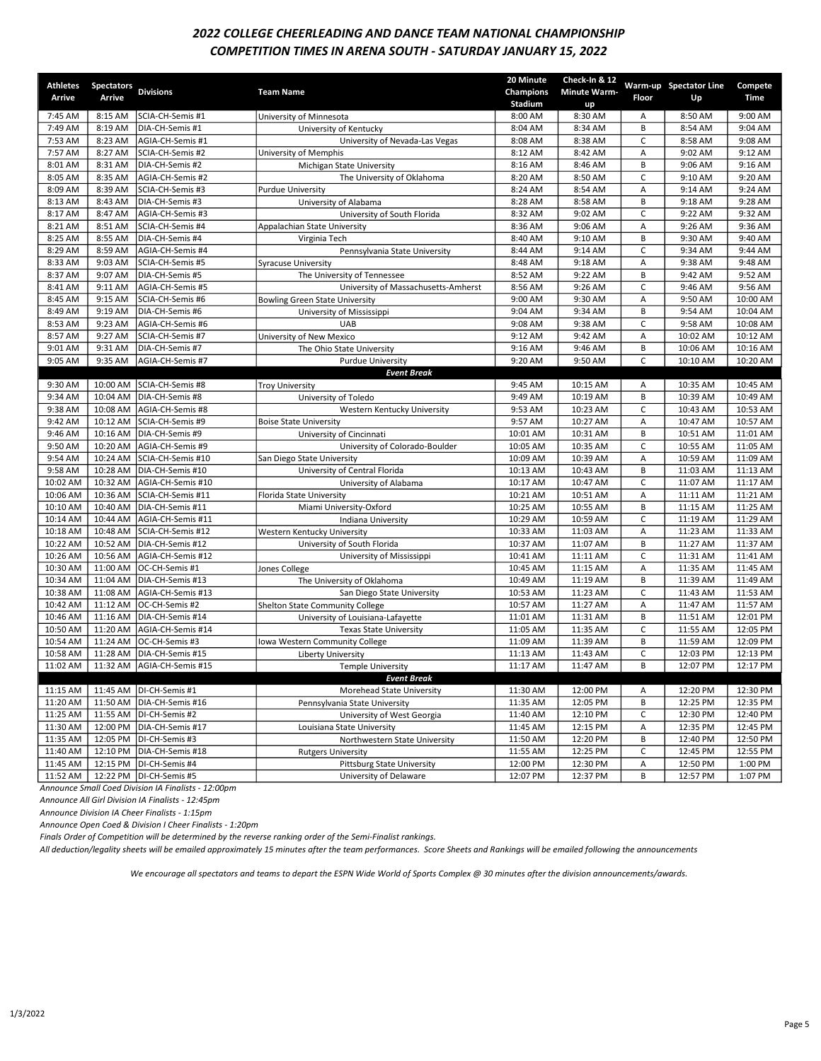## 2022 COLLEGE CHEERLEADING AND DANCE TEAM NATIONAL CHAMPIONSHIP COMPETITION TIMES IN ARENA SOUTH - SATURDAY JANUARY 15, 2022

| <b>Athletes</b> |                                |                   |                                       | 20 Minute            | Check-In & 12       |       | Warm-up Spectator Line |                 |
|-----------------|--------------------------------|-------------------|---------------------------------------|----------------------|---------------------|-------|------------------------|-----------------|
| Arrive          | Spectators Divisions<br>Arrive |                   | <b>Team Name</b>                      | Champions            | <b>Minute Warm-</b> | Floor |                        | Compete<br>Time |
|                 |                                |                   |                                       | Stadium              | up                  |       | Up                     |                 |
| 7:45 AM         | 8:15 AM                        | SCIA-CH-Semis #1  | University of Minnesota               | 8:00 AM              | 8:30 AM             | Α     | 8:50 AM                | 9:00 AM         |
| 7:49 AM         | 8:19 AM                        | DIA-CH-Semis #1   | University of Kentucky                | 8:04 AM              | 8:34 AM             | B     | 8:54 AM                | 9:04 AM         |
| 7:53 AM         | 8:23 AM                        | AGIA-CH-Semis #1  | University of Nevada-Las Vegas        | 8:08 AM              | 8:38 AM             | C     | 8:58 AM                | 9:08 AM         |
| 7:57 AM         | 8:27 AM                        | SCIA-CH-Semis #2  | University of Memphis                 | 8:12 AM              | 8:42 AM             | А     | 9:02 AM                | 9:12 AM         |
| 8:01 AM         | 8:31 AM                        | DIA-CH-Semis #2   | Michigan State University             | 8:16 AM              | 8:46 AM             | B     | 9:06 AM                | 9:16 AM         |
| 8:05 AM         | 8:35 AM                        | AGIA-CH-Semis #2  | The University of Oklahoma            | 8:20 AM              | 8:50 AM             | C     | 9:10 AM                | 9:20 AM         |
| 8:09 AM         | 8:39 AM                        | SCIA-CH-Semis #3  | <b>Purdue University</b>              | 8:24 AM              | 8:54 AM             | Α     | 9:14 AM                | 9:24 AM         |
| 8:13 AM         | 8:43 AM                        | DIA-CH-Semis #3   | University of Alabama                 | 8:28 AM              | 8:58 AM             | B     | 9:18 AM                | 9:28 AM         |
| 8:17 AM         | 8:47 AM                        | AGIA-CH-Semis #3  | University of South Florida           | 8:32 AM              | 9:02 AM             | C     | 9:22 AM                | 9:32 AM         |
| 8:21 AM         | 8:51 AM                        | SCIA-CH-Semis #4  | Appalachian State University          | 8:36 AM              | 9:06 AM             | Α     | 9:26 AM                | 9:36 AM         |
| 8:25 AM         | 8:55 AM                        | DIA-CH-Semis #4   | Virginia Tech                         | 8:40 AM              | 9:10 AM             | B     | 9:30 AM                | 9:40 AM         |
| 8:29 AM         | 8:59 AM                        | AGIA-CH-Semis #4  | Pennsylvania State University         | 8:44 AM              | 9:14 AM             | C     | 9:34 AM                | 9:44 AM         |
| 8:33 AM         | 9:03 AM                        | SCIA-CH-Semis #5  | <b>Syracuse University</b>            | 8:48 AM              | 9:18 AM             | А     | 9:38 AM                | 9:48 AM         |
| 8:37 AM         | 9:07 AM                        | DIA-CH-Semis #5   | The University of Tennessee           | 8:52 AM              | 9:22 AM             | B     | 9:42 AM                | 9:52 AM         |
| 8:41 AM         | 9:11 AM                        | AGIA-CH-Semis #5  | University of Massachusetts-Amherst   | 8:56 AM              | 9:26 AM             | C     | 9:46 AM                | 9:56 AM         |
| 8:45 AM         | 9:15 AM                        | SCIA-CH-Semis #6  | <b>Bowling Green State University</b> | 9:00 AM              | 9:30 AM             | А     | 9:50 AM                | 10:00 AM        |
| 8:49 AM         | 9:19 AM                        | DIA-CH-Semis #6   | University of Mississippi             | 9:04 AM              | 9:34 AM             | B     | 9:54 AM                | 10:04 AM        |
| 8:53 AM         | 9:23 AM                        | AGIA-CH-Semis #6  | <b>UAB</b>                            | 9:08 AM              | 9:38 AM             | C     | 9:58 AM                | 10:08 AM        |
| 8:57 AM         | 9:27 AM                        | SCIA-CH-Semis #7  | University of New Mexico              | 9:12 AM              | 9:42 AM             | А     | 10:02 AM               | 10:12 AM        |
| 9:01 AM         | 9:31 AM                        | DIA-CH-Semis #7   | The Ohio State University             | 9:16 AM              | 9:46 AM             | B     | 10:06 AM               | 10:16 AM        |
| 9:05 AM         | 9:35 AM                        | AGIA-CH-Semis #7  | <b>Purdue University</b>              | 9:20 AM              | 9:50 AM             | C     | 10:10 AM               | 10:20 AM        |
|                 |                                |                   | <b>Event Break</b>                    |                      |                     |       |                        |                 |
| 9:30 AM         | 10:00 AM                       | SCIA-CH-Semis #8  | <b>Troy University</b>                | 9:45 AM              | 10:15 AM            | Α     | 10:35 AM               | 10:45 AM        |
| 9:34 AM         | 10:04 AM                       | DIA-CH-Semis #8   | University of Toledo                  | 9:49 AM              | 10:19 AM            | B     | 10:39 AM               | 10:49 AM        |
| 9:38 AM         | 10:08 AM                       | AGIA-CH-Semis #8  | Western Kentucky University           | 9:53 AM              | 10:23 AM            | C     | 10:43 AM               | 10:53 AM        |
| 9:42 AM         | 10:12 AM                       | SCIA-CH-Semis #9  | <b>Boise State University</b>         | 9:57 AM              | 10:27 AM            | А     | 10:47 AM               | 10:57 AM        |
| 9:46 AM         | 10:16 AM                       | DIA-CH-Semis #9   | University of Cincinnati              | 10:01 AM             | 10:31 AM            | B     | 10:51 AM               | 11:01 AM        |
| 9:50 AM         | 10:20 AM                       | AGIA-CH-Semis #9  | University of Colorado-Boulder        | 10:05 AM             | 10:35 AM            | C     | 10:55 AM               | 11:05 AM        |
| 9:54 AM         | 10:24 AM                       | SCIA-CH-Semis #10 | San Diego State University            | 10:09 AM             | 10:39 AM            | А     | 10:59 AM               | 11:09 AM        |
| 9:58 AM         | 10:28 AM                       | DIA-CH-Semis #10  | University of Central Florida         | 10:13 AM             | 10:43 AM            | B     | 11:03 AM               | 11:13 AM        |
| 10:02 AM        | 10:32 AM                       | AGIA-CH-Semis #10 | University of Alabama                 | 10:17 AM             | 10:47 AM            | C     | 11:07 AM               | 11:17 AM        |
| 10:06 AM        | 10:36 AM                       | SCIA-CH-Semis #11 |                                       | 10:21 AM             | 10:51 AM            | Α     | 11:11 AM               | 11:21 AM        |
| 10:10 AM        | 10:40 AM                       | DIA-CH-Semis #11  | Florida State University              |                      |                     | B     |                        | 11:25 AM        |
| 10:14 AM        | 10:44 AM                       | AGIA-CH-Semis #11 | Miami University-Oxford               | 10:25 AM<br>10:29 AM | 10:55 AM            | C     | 11:15 AM<br>11:19 AM   | 11:29 AM        |
| 10:18 AM        |                                |                   | Indiana University                    |                      | 10:59 AM            | Α     |                        | 11:33 AM        |
|                 | 10:48 AM                       | SCIA-CH-Semis #12 | Western Kentucky University           | 10:33 AM             | 11:03 AM            |       | 11:23 AM               |                 |
| 10:22 AM        | 10:52 AM                       | DIA-CH-Semis #12  | University of South Florida           | 10:37 AM             | 11:07 AM            | B     | 11:27 AM               | 11:37 AM        |
| 10:26 AM        | 10:56 AM                       | AGIA-CH-Semis #12 | University of Mississippi             | 10:41 AM             | 11:11 AM            | C     | 11:31 AM               | 11:41 AM        |
| 10:30 AM        | 11:00 AM                       | OC-CH-Semis #1    | Jones College                         | 10:45 AM             | 11:15 AM            | А     | 11:35 AM               | 11:45 AM        |
| 10:34 AM        | 11:04 AM                       | DIA-CH-Semis #13  | The University of Oklahoma            | 10:49 AM             | 11:19 AM            | B     | 11:39 AM               | 11:49 AM        |
| 10:38 AM        | 11:08 AM                       | AGIA-CH-Semis #13 | San Diego State University            | 10:53 AM             | 11:23 AM            | C     | 11:43 AM               | 11:53 AM        |
| 10:42 AM        | 11:12 AM                       | OC-CH-Semis #2    | Shelton State Community College       | 10:57 AM             | 11:27 AM            | А     | 11:47 AM               | 11:57 AM        |
| 10:46 AM        | 11:16 AM                       | DIA-CH-Semis #14  | University of Louisiana-Lafayette     | 11:01 AM             | 11:31 AM            | B     | 11:51 AM               | 12:01 PM        |
| 10:50 AM        | 11:20 AM                       | AGIA-CH-Semis #14 | <b>Texas State University</b>         | 11:05 AM             | 11:35 AM            | C     | 11:55 AM               | 12:05 PM        |
| 10:54 AM        | 11:24 AM                       | OC-CH-Semis #3    | Iowa Western Community College        | 11:09 AM             | 11:39 AM            | B     | 11:59 AM               | 12:09 PM        |
| 10:58 AM        | 11:28 AM                       | DIA-CH-Semis #15  | Liberty University                    | 11:13 AM             | 11:43 AM            | C     | 12:03 PM               | 12:13 PM        |
| 11:02 AM        | 11:32 AM                       | AGIA-CH-Semis #15 | <b>Temple University</b>              | 11:17 AM             | 11:47 AM            | B     | 12:07 PM               | 12:17 PM        |
|                 |                                |                   | Event Break                           |                      |                     |       |                        |                 |
| 11:15 AM        | 11:45 AM                       | DI-CH-Semis #1    | Morehead State University             | 11:30 AM             | 12:00 PM            | Α     | 12:20 PM               | 12:30 PM        |
| 11:20 AM        | 11:50 AM                       | DIA-CH-Semis #16  | Pennsylvania State University         | 11:35 AM             | 12:05 PM            | В     | 12:25 PM               | 12:35 PM        |
| 11:25 AM        | 11:55 AM                       | DI-CH-Semis #2    | University of West Georgia            | 11:40 AM             | 12:10 PM            | C     | 12:30 PM               | 12:40 PM        |
| 11:30 AM        | 12:00 PM                       | DIA-CH-Semis #17  | Louisiana State University            | 11:45 AM             | 12:15 PM            | А     | 12:35 PM               | 12:45 PM        |
| 11:35 AM        | 12:05 PM                       | DI-CH-Semis #3    | Northwestern State University         | 11:50 AM             | 12:20 PM            | B     | 12:40 PM               | 12:50 PM        |
| 11:40 AM        | 12:10 PM                       | DIA-CH-Semis #18  | <b>Rutgers University</b>             | 11:55 AM             | 12:25 PM            | С     | 12:45 PM               | 12:55 PM        |
| 11:45 AM        | 12:15 PM                       | DI-CH-Semis #4    | <b>Pittsburg State University</b>     | 12:00 PM             | 12:30 PM            | Α     | 12:50 PM               | 1:00 PM         |
| 11:52 AM        | 12:22 PM                       | DI-CH-Semis #5    | University of Delaware                | 12:07 PM             | 12:37 PM            | B     | 12:57 PM               | 1:07 PM         |

Announce Small Coed Division IA Finalists - 12:00pm

Announce All Girl Division IA Finalists - 12:45pm

Announce Division IA Cheer Finalists - 1:15pm

Announce Open Coed & Division I Cheer Finalists - 1:20pm

Finals Order of Competition will be determined by the reverse ranking order of the Semi-Finalist rankings.

All deduction/legality sheets will be emailed approximately 15 minutes after the team performances. Score Sheets and Rankings will be emailed following the announcements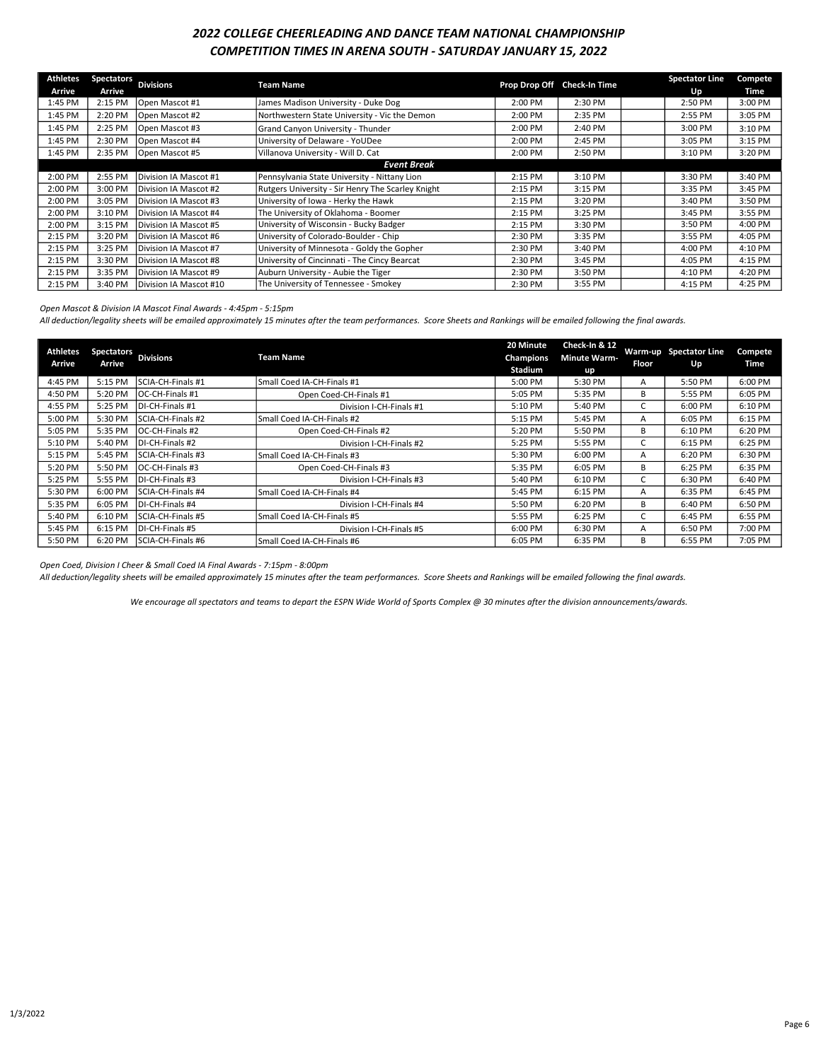### 2022 COLLEGE CHEERLEADING AND DANCE TEAM NATIONAL CHAMPIONSHIP COMPETITION TIMES IN ARENA SOUTH - SATURDAY JANUARY 15, 2022

| Athletes | <b>Spectators</b> | <b>Divisions</b>       | <b>Team Name</b>                                  |         | Prop Drop Off Check-In Time | <b>Spectator Line</b> | <b>Compete</b> |
|----------|-------------------|------------------------|---------------------------------------------------|---------|-----------------------------|-----------------------|----------------|
| Arrive   | Arrive            |                        |                                                   |         |                             | Up                    | Time           |
| 1:45 PM  | 2:15 PM           | Open Mascot #1         | James Madison University - Duke Dog               | 2:00 PM | 2:30 PM                     | 2:50 PM               | 3:00 PM        |
| 1:45 PM  | 2:20 PM           | Open Mascot #2         | Northwestern State University - Vic the Demon     | 2:00 PM | 2:35 PM                     | 2:55 PM               | 3:05 PM        |
| 1:45 PM  | 2:25 PM           | Open Mascot #3         | Grand Canyon University - Thunder                 | 2:00 PM | 2:40 PM                     | 3:00 PM               | 3:10 PM        |
| 1:45 PM  | 2:30 PM           | Open Mascot #4         | University of Delaware - YoUDee                   | 2:00 PM | 2:45 PM                     | 3:05 PM               | 3:15 PM        |
| 1:45 PM  | 2:35 PM           | Open Mascot #5         | Villanova University - Will D. Cat                | 2:00 PM | 2:50 PM                     | 3:10 PM               | 3:20 PM        |
|          |                   |                        | <b>Event Break</b>                                |         |                             |                       |                |
| 2:00 PM  | 2:55 PM           | Division IA Mascot #1  | Pennsylvania State University - Nittany Lion      | 2:15 PM | 3:10 PM                     | 3:30 PM               | 3:40 PM        |
| 2:00 PM  | 3:00 PM           | Division IA Mascot #2  | Rutgers University - Sir Henry The Scarley Knight | 2:15 PM | 3:15 PM                     | 3:35 PM               | 3:45 PM        |
| 2:00 PM  | 3:05 PM           | Division IA Mascot #3  | University of Iowa - Herky the Hawk               | 2:15 PM | 3:20 PM                     | 3:40 PM               | 3:50 PM        |
| 2:00 PM  | 3:10 PM           | Division IA Mascot #4  | The University of Oklahoma - Boomer               | 2:15 PM | 3:25 PM                     | 3:45 PM               | 3:55 PM        |
| 2:00 PM  | 3:15 PM           | Division IA Mascot #5  | University of Wisconsin - Bucky Badger            | 2:15 PM | 3:30 PM                     | 3:50 PM               | 4:00 PM        |
| 2:15 PM  | 3:20 PM           | Division IA Mascot #6  | University of Colorado-Boulder - Chip             | 2:30 PM | 3:35 PM                     | 3:55 PM               | 4:05 PM        |
| 2:15 PM  | 3:25 PM           | Division IA Mascot #7  | University of Minnesota - Goldy the Gopher        | 2:30 PM | 3:40 PM                     | 4:00 PM               | 4:10 PM        |
| 2:15 PM  | 3:30 PM           | Division IA Mascot #8  | University of Cincinnati - The Cincy Bearcat      | 2:30 PM | 3:45 PM                     | 4:05 PM               | 4:15 PM        |
| 2:15 PM  | 3:35 PM           | Division IA Mascot #9  | Auburn University - Aubie the Tiger               | 2:30 PM | 3:50 PM                     | 4:10 PM               | 4:20 PM        |
| 2:15 PM  | 3:40 PM           | Division IA Mascot #10 | The University of Tennessee - Smokey              | 2:30 PM | 3:55 PM                     | 4:15 PM               | 4:25 PM        |

Open Mascot & Division IA Mascot Final Awards - 4:45pm - 5:15pm

All deduction/legality sheets will be emailed approximately 15 minutes after the team performances. Score Sheets and Rankings will be emailed following the final awards.

| <b>Athletes</b><br>Arrive | <b>Spectators</b><br>Arrive | <b>Divisions</b>          | <b>Team Name</b>           | 20 Minute<br><b>Champions</b><br>Stadium | Check-In & 12<br><b>Minute Warm-</b><br>up | <b>Floor</b> | Warm-up Spectator Line<br>Up | Compete<br>Time |
|---------------------------|-----------------------------|---------------------------|----------------------------|------------------------------------------|--------------------------------------------|--------------|------------------------------|-----------------|
| 4:45 PM                   | 5:15 PM                     | SCIA-CH-Finals #1         | Small Coed IA-CH-Finals #1 | 5:00 PM                                  | 5:30 PM                                    | A            | 5:50 PM                      | 6:00 PM         |
| 4:50 PM                   | 5:20 PM                     | IOC-CH-Finals #1          | Open Coed-CH-Finals #1     | 5:05 PM                                  | 5:35 PM                                    | B            | 5:55 PM                      | 6:05 PM         |
| 4:55 PM                   | 5:25 PM                     | <b>IDI-CH-Finals #1</b>   | Division I-CH-Finals #1    | 5:10 PM                                  | 5:40 PM                                    |              | 6:00 PM                      | 6:10 PM         |
| 5:00 PM                   | 5:30 PM                     | <b>SCIA-CH-Finals #2</b>  | Small Coed IA-CH-Finals #2 | 5:15 PM                                  | 5:45 PM                                    | A            | 6:05 PM                      | 6:15 PM         |
| 5:05 PM                   | 5:35 PM                     | IOC-CH-Finals #2          | Open Coed-CH-Finals #2     | 5:20 PM                                  | 5:50 PM                                    | B            | 6:10 PM                      | 6:20 PM         |
| 5:10 PM                   | 5:40 PM                     | IDI-CH-Finals #2          | Division I-CH-Finals #2    | 5:25 PM                                  | 5:55 PM                                    |              | 6:15 PM                      | 6:25 PM         |
| 5:15 PM                   | 5:45 PM                     | ISCIA-CH-Finals #3        | Small Coed IA-CH-Finals #3 | 5:30 PM                                  | 6:00 PM                                    | A            | 6:20 PM                      | 6:30 PM         |
| 5:20 PM                   | 5:50 PM                     | IOC-CH-Finals #3          | Open Coed-CH-Finals #3     | 5:35 PM                                  | 6:05 PM                                    | B            | 6:25 PM                      | 6:35 PM         |
| 5:25 PM                   | 5:55 PM                     | DI-CH-Finals #3           | Division I-CH-Finals #3    | 5:40 PM                                  | 6:10 PM                                    |              | 6:30 PM                      | 6:40 PM         |
| 5:30 PM                   | 6:00 PM                     | <b>ISCIA-CH-Finals #4</b> | Small Coed IA-CH-Finals #4 | 5:45 PM                                  | 6:15 PM                                    | A            | 6:35 PM                      | 6:45 PM         |
| 5:35 PM                   | 6:05 PM                     | <b>IDI-CH-Finals #4</b>   | Division I-CH-Finals #4    | 5:50 PM                                  | 6:20 PM                                    | B            | 6:40 PM                      | 6:50 PM         |
| 5:40 PM                   | 6:10 PM                     | <b>ISCIA-CH-Finals #5</b> | Small Coed IA-CH-Finals #5 | 5:55 PM                                  | 6:25 PM                                    |              | 6:45 PM                      | 6:55 PM         |
| 5:45 PM                   | 6:15 PM                     | <b>IDI-CH-Finals #5</b>   | Division I-CH-Finals #5    | 6:00 PM                                  | 6:30 PM                                    | A            | 6:50 PM                      | 7:00 PM         |
| 5:50 PM                   | 6:20 PM                     | <b>SCIA-CH-Finals #6</b>  | Small Coed IA-CH-Finals #6 | 6:05 PM                                  | 6:35 PM                                    | B            | 6:55 PM                      | 7:05 PM         |

Open Coed, Division I Cheer & Small Coed IA Final Awards - 7:15pm - 8:00pm

All deduction/legality sheets will be emailed approximately 15 minutes after the team performances. Score Sheets and Rankings will be emailed following the final awards.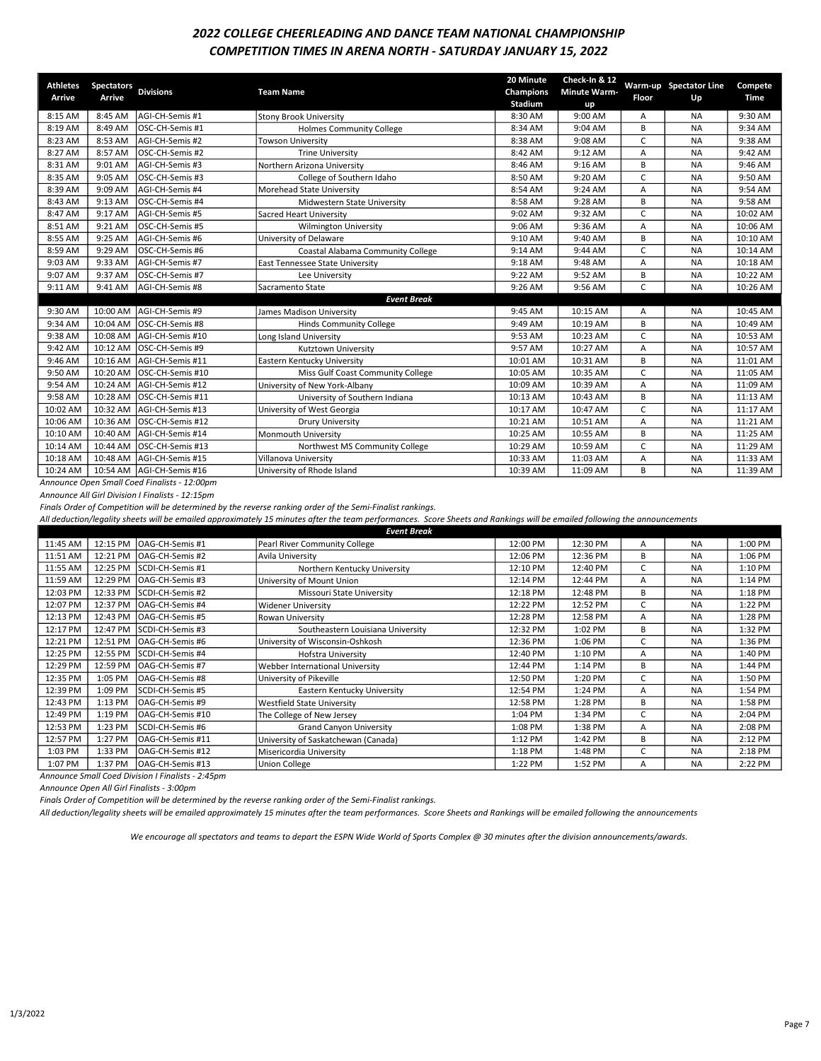### 2022 COLLEGE CHEERLEADING AND DANCE TEAM NATIONAL CHAMPIONSHIP COMPETITION TIMES IN ARENA NORTH - SATURDAY JANUARY 15, 2022

| <b>Athletes</b><br>Arrive | <b>Spectators</b><br>Arrive | <b>Divisions</b>                             | <b>Team Name</b>                  | 20 Minute<br>Champions<br><b>Stadium</b> | Check-In & 12<br><b>Minute Warm-</b><br>up | Floor        | Warm-up Spectator Line<br>Up | Compete<br>Time |
|---------------------------|-----------------------------|----------------------------------------------|-----------------------------------|------------------------------------------|--------------------------------------------|--------------|------------------------------|-----------------|
| 8:15 AM                   | 8:45 AM                     | AGI-CH-Semis #1                              | <b>Stony Brook University</b>     | 8:30 AM                                  | 9:00 AM                                    | A            | <b>NA</b>                    | 9:30 AM         |
| 8:19 AM                   | 8:49 AM                     | OSC-CH-Semis #1                              | <b>Holmes Community College</b>   | 8:34 AM                                  | 9:04 AM                                    | B            | <b>NA</b>                    | 9:34 AM         |
| 8:23 AM                   | 8:53 AM                     | AGI-CH-Semis #2                              | <b>Towson University</b>          | 8:38 AM                                  | 9:08 AM                                    | C            | <b>NA</b>                    | 9:38 AM         |
| 8:27 AM                   | 8:57 AM                     | OSC-CH-Semis #2                              | <b>Trine University</b>           | 8:42 AM                                  | 9:12 AM                                    | A            | <b>NA</b>                    | 9:42 AM         |
| 8:31 AM                   | 9:01 AM                     | AGI-CH-Semis #3                              | Northern Arizona University       | 8:46 AM                                  | 9:16 AM                                    | B            | <b>NA</b>                    | 9:46 AM         |
| 8:35 AM                   | 9:05 AM                     | lOSC-CH-Semis #3                             | College of Southern Idaho         | 8:50 AM                                  | 9:20 AM                                    | C            | <b>NA</b>                    | 9:50 AM         |
| 8:39 AM                   | 9:09 AM                     | AGI-CH-Semis #4                              | Morehead State University         | 8:54 AM                                  | 9:24 AM                                    | A            | <b>NA</b>                    | 9:54 AM         |
| 8:43 AM                   | 9:13 AM                     | <b>OSC-CH-Semis #4</b>                       | Midwestern State University       | 8:58 AM                                  | 9:28 AM                                    | В            | <b>NA</b>                    | 9:58 AM         |
| 8:47 AM                   | 9:17 AM                     | AGI-CH-Semis #5                              | Sacred Heart University           | 9:02 AM                                  | 9:32 AM                                    | C            | <b>NA</b>                    | 10:02 AM        |
| 8:51 AM                   | 9:21 AM                     | OSC-CH-Semis #5                              | <b>Wilmington University</b>      | 9:06 AM                                  | 9:36 AM                                    | A            | <b>NA</b>                    | 10:06 AM        |
| 8:55 AM                   | 9:25 AM                     | AGI-CH-Semis #6                              | University of Delaware            | 9:10 AM                                  | 9:40 AM                                    | В            | <b>NA</b>                    | 10:10 AM        |
| 8:59 AM                   | 9:29 AM                     | OSC-CH-Semis #6                              | Coastal Alabama Community College | 9:14 AM                                  | 9:44 AM                                    | C            | <b>NA</b>                    | 10:14 AM        |
| 9:03 AM                   | 9:33 AM                     | AGI-CH-Semis #7                              | East Tennessee State University   | 9:18 AM                                  | 9:48 AM                                    | A            | <b>NA</b>                    | 10:18 AM        |
| 9:07 AM                   | 9:37 AM                     | <b>OSC-CH-Semis #7</b>                       | Lee University                    | 9:22 AM                                  | 9:52 AM                                    | B            | <b>NA</b>                    | 10:22 AM        |
| 9:11 AM                   | 9:41 AM                     | AGI-CH-Semis #8                              | Sacramento State                  | 9:26 AM                                  | 9:56 AM                                    | $\mathsf{C}$ | <b>NA</b>                    | 10:26 AM        |
|                           |                             |                                              | <b>Event Break</b>                |                                          |                                            |              |                              |                 |
| 9:30 AM                   | 10:00 AM                    | AGI-CH-Semis #9                              | James Madison University          | 9:45 AM                                  | 10:15 AM                                   | A            | <b>NA</b>                    | 10:45 AM        |
| 9:34 AM                   | 10:04 AM                    | OSC-CH-Semis #8                              | <b>Hinds Community College</b>    | 9:49 AM                                  | 10:19 AM                                   | B            | <b>NA</b>                    | 10:49 AM        |
| 9:38 AM                   | 10:08 AM                    | AGI-CH-Semis #10                             | Long Island University            | 9:53 AM                                  | 10:23 AM                                   | $\mathsf{C}$ | <b>NA</b>                    | 10:53 AM        |
| 9:42 AM                   | 10:12 AM                    | OSC-CH-Semis #9                              | Kutztown University               | 9:57 AM                                  | 10:27 AM                                   | A            | <b>NA</b>                    | 10:57 AM        |
| 9:46 AM                   | 10:16 AM                    | AGI-CH-Semis #11                             | Eastern Kentucky University       | 10:01 AM                                 | 10:31 AM                                   | B            | <b>NA</b>                    | 11:01 AM        |
| 9:50 AM                   | 10:20 AM                    | OSC-CH-Semis #10                             | Miss Gulf Coast Community College | 10:05 AM                                 | 10:35 AM                                   | $\mathsf{C}$ | <b>NA</b>                    | 11:05 AM        |
| 9:54 AM                   | 10:24 AM                    | AGI-CH-Semis #12                             | University of New York-Albany     | 10:09 AM                                 | 10:39 AM                                   | A            | <b>NA</b>                    | 11:09 AM        |
| 9:58 AM                   | 10:28 AM                    | <b>OSC-CH-Semis #11</b>                      | University of Southern Indiana    | 10:13 AM                                 | 10:43 AM                                   | B            | <b>NA</b>                    | 11:13 AM        |
| 10:02 AM                  | 10:32 AM                    | AGI-CH-Semis #13                             | University of West Georgia        | 10:17 AM                                 | 10:47 AM                                   | C            | <b>NA</b>                    | 11:17 AM        |
| 10:06 AM                  | 10:36 AM                    | <b>OSC-CH-Semis #12</b>                      | <b>Drury University</b>           | 10:21 AM                                 | 10:51 AM                                   | A            | <b>NA</b>                    | 11:21 AM        |
| 10:10 AM                  | 10:40 AM                    | AGI-CH-Semis #14                             | Monmouth University               | 10:25 AM                                 | 10:55 AM                                   | B            | <b>NA</b>                    | 11:25 AM        |
| 10:14 AM                  | 10:44 AM                    | OSC-CH-Semis #13                             | Northwest MS Community College    | 10:29 AM                                 | 10:59 AM                                   | C            | <b>NA</b>                    | 11:29 AM        |
| 10:18 AM                  | 10:48 AM                    | IAGI-CH-Semis #15                            | Villanova University              | 10:33 AM                                 | 11:03 AM                                   | A            | <b>NA</b>                    | 11:33 AM        |
| 10:24 AM                  | 10:54 AM                    | AGI-CH-Semis #16                             | University of Rhode Island        | 10:39 AM                                 | 11:09 AM                                   | B            | <b>NA</b>                    | 11:39 AM        |
|                           |                             | Announce Open Small Coed Finalists - 12:00pm |                                   |                                          |                                            |              |                              |                 |

Announce All Girl Division I Finalists - 12:15pm

Finals Order of Competition will be determined by the reverse ranking order of the Semi-Finalist rankings.

All deduction/legality sheets will be emailed approximately 15 minutes after the team performances. Score Sheets and Rankings will be emailed following the announcements

| <b>Event Break</b> |          |                          |                                     |          |          |   |           |         |  |
|--------------------|----------|--------------------------|-------------------------------------|----------|----------|---|-----------|---------|--|
| 11:45 AM           | 12:15 PM | IOAG-CH-Semis #1         | Pearl River Community College       | 12:00 PM | 12:30 PM | Α | <b>NA</b> | 1:00 PM |  |
| 11:51 AM           | 12:21 PM | IOAG-CH-Semis #2         | Avila University                    | 12:06 PM | 12:36 PM | В | <b>NA</b> | 1:06 PM |  |
| 11:55 AM           | 12:25 PM | SCDI-CH-Semis #1         | Northern Kentucky University        | 12:10 PM | 12:40 PM |   | <b>NA</b> | 1:10 PM |  |
| 11:59 AM           | 12:29 PM | IOAG-CH-Semis #3         | University of Mount Union           | 12:14 PM | 12:44 PM | Α | <b>NA</b> | 1:14 PM |  |
| 12:03 PM           | 12:33 PM | SCDI-CH-Semis #2         | Missouri State University           | 12:18 PM | 12:48 PM | B | <b>NA</b> | 1:18 PM |  |
| 12:07 PM           | 12:37 PM | <b>IOAG-CH-Semis #4</b>  | <b>Widener University</b>           | 12:22 PM | 12:52 PM |   | <b>NA</b> | 1:22 PM |  |
| 12:13 PM           | 12:43 PM | OAG-CH-Semis #5          | Rowan University                    | 12:28 PM | 12:58 PM | A | <b>NA</b> | 1:28 PM |  |
| 12:17 PM           | 12:47 PM | <b>SCDI-CH-Semis #3</b>  | Southeastern Louisiana University   | 12:32 PM | 1:02 PM  | В | <b>NA</b> | 1:32 PM |  |
| 12:21 PM           | 12:51 PM | OAG-CH-Semis #6          | University of Wisconsin-Oshkosh     | 12:36 PM | 1:06 PM  |   | <b>NA</b> | 1:36 PM |  |
| 12:25 PM           | 12:55 PM | <b>ISCDI-CH-Semis #4</b> | Hofstra University                  | 12:40 PM | 1:10 PM  | Α | <b>NA</b> | 1:40 PM |  |
| 12:29 PM           | 12:59 PM | <b>IOAG-CH-Semis #7</b>  | Webber International University     | 12:44 PM | 1:14 PM  | B | <b>NA</b> | 1:44 PM |  |
| 12:35 PM           | 1:05 PM  | <b>IOAG-CH-Semis #8</b>  | University of Pikeville             | 12:50 PM | 1:20 PM  |   | <b>NA</b> | 1:50 PM |  |
| 12:39 PM           | 1:09 PM  | SCDI-CH-Semis #5         | Eastern Kentucky University         | 12:54 PM | 1:24 PM  | A | <b>NA</b> | 1:54 PM |  |
| 12:43 PM           | 1:13 PM  | IOAG-CH-Semis #9         | Westfield State University          | 12:58 PM | 1:28 PM  | В | <b>NA</b> | 1:58 PM |  |
| 12:49 PM           | 1:19 PM  | <b>IOAG-CH-Semis #10</b> | The College of New Jersey           | 1:04 PM  | 1:34 PM  |   | <b>NA</b> | 2:04 PM |  |
| 12:53 PM           | 1:23 PM  | SCDI-CH-Semis #6         | <b>Grand Canyon University</b>      | 1:08 PM  | 1:38 PM  | A | <b>NA</b> | 2:08 PM |  |
| 12:57 PM           | 1:27 PM  | IOAG-CH-Semis #11        | University of Saskatchewan (Canada) | 1:12 PM  | 1:42 PM  | B | <b>NA</b> | 2:12 PM |  |
| 1:03 PM            | 1:33 PM  | OAG-CH-Semis #12         | Misericordia University             | 1:18 PM  | 1:48 PM  |   | <b>NA</b> | 2:18 PM |  |
| 1:07 PM            | 1:37 PM  | IOAG-CH-Semis #13        | <b>Union College</b>                | 1:22 PM  | 1:52 PM  | A | <b>NA</b> | 2:22 PM |  |

Announce Small Coed Division I Finalists - 2:45pm

Announce Open All Girl Finalists - 3:00pm

Finals Order of Competition will be determined by the reverse ranking order of the Semi-Finalist rankings.

All deduction/legality sheets will be emailed approximately 15 minutes after the team performances. Score Sheets and Rankings will be emailed following the announcements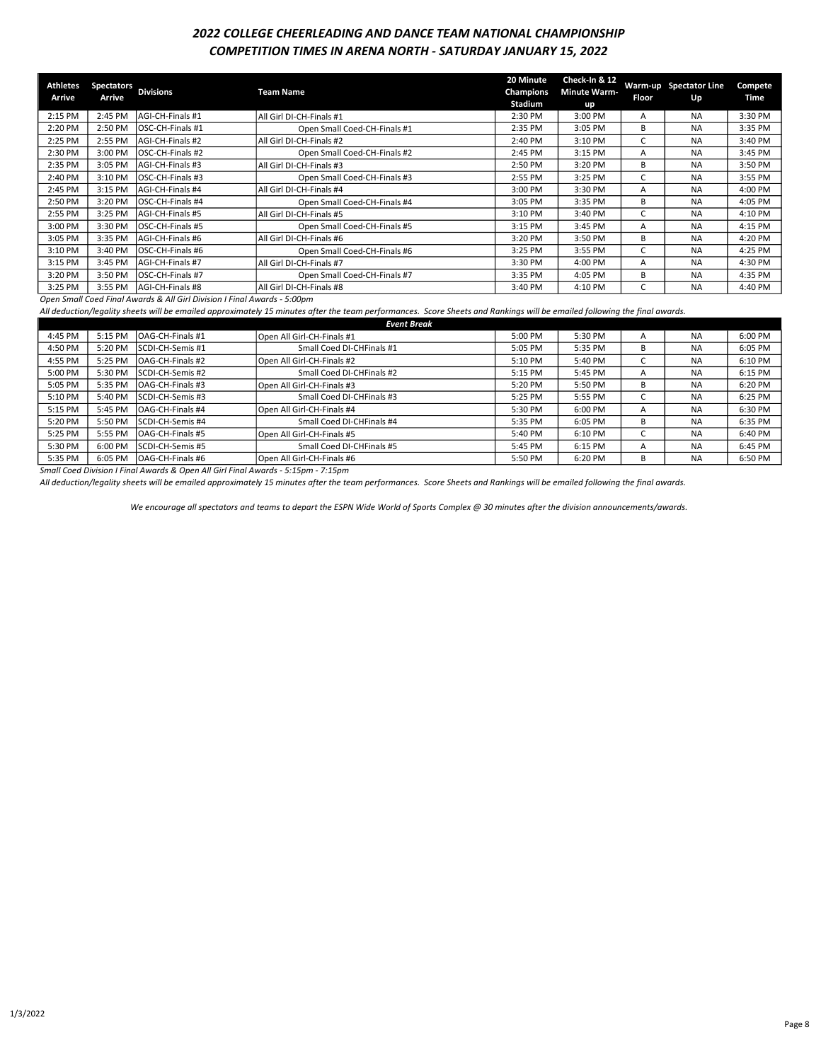## 2022 COLLEGE CHEERLEADING AND DANCE TEAM NATIONAL CHAMPIONSHIP COMPETITION TIMES IN ARENA NORTH - SATURDAY JANUARY 15, 2022

| <b>Athletes</b><br>Arrive | <b>Spectators</b><br>Arrive | <b>Divisions</b>         | <b>Team Name</b>             | 20 Minute<br>Champions<br>Stadium | Check-In & 12<br><b>Minute Warm-</b><br>up | Floor | Warm-up Spectator Line<br>Up | Compete<br>Time |
|---------------------------|-----------------------------|--------------------------|------------------------------|-----------------------------------|--------------------------------------------|-------|------------------------------|-----------------|
| 2:15 PM                   | 2:45 PM                     | AGI-CH-Finals #1         | All Girl DI-CH-Finals #1     | 2:30 PM                           | 3:00 PM                                    | A     | <b>NA</b>                    | 3:30 PM         |
| 2:20 PM                   | 2:50 PM                     | <b>IOSC-CH-Finals #1</b> | Open Small Coed-CH-Finals #1 | 2:35 PM                           | 3:05 PM                                    | R.    | <b>NA</b>                    | 3:35 PM         |
| 2:25 PM                   | 2:55 PM                     | <b>AGI-CH-Finals #2</b>  | All Girl DI-CH-Finals #2     | 2:40 PM                           | 3:10 PM                                    |       | <b>NA</b>                    | 3:40 PM         |
| 2:30 PM                   | 3:00 PM                     | OSC-CH-Finals #2         | Open Small Coed-CH-Finals #2 | 2:45 PM                           | 3:15 PM                                    | A     | <b>NA</b>                    | 3:45 PM         |
| 2:35 PM                   | 3:05 PM                     | <b>AGI-CH-Finals #3</b>  | All Girl DI-CH-Finals #3     | 2:50 PM                           | 3:20 PM                                    | В     | <b>NA</b>                    | 3:50 PM         |
| 2:40 PM                   | 3:10 PM                     | IOSC-CH-Finals #3        | Open Small Coed-CH-Finals #3 | 2:55 PM                           | 3:25 PM                                    |       | <b>NA</b>                    | 3:55 PM         |
| 2:45 PM                   | 3:15 PM                     | <b>AGI-CH-Finals #4</b>  | All Girl DI-CH-Finals #4     | 3:00 PM                           | 3:30 PM                                    | A     | <b>NA</b>                    | 4:00 PM         |
| 2:50 PM                   | 3:20 PM                     | <b>OSC-CH-Finals #4</b>  | Open Small Coed-CH-Finals #4 | 3:05 PM                           | 3:35 PM                                    | B     | <b>NA</b>                    | 4:05 PM         |
| 2:55 PM                   | 3:25 PM                     | <b>AGI-CH-Finals #5</b>  | All Girl DI-CH-Finals #5     | 3:10 PM                           | 3:40 PM                                    |       | <b>NA</b>                    | 4:10 PM         |
| 3:00 PM                   | 3:30 PM                     | <b>IOSC-CH-Finals #5</b> | Open Small Coed-CH-Finals #5 | 3:15 PM                           | 3:45 PM                                    | A     | <b>NA</b>                    | 4:15 PM         |
| 3:05 PM                   | 3:35 PM                     | <b>AGI-CH-Finals #6</b>  | All Girl DI-CH-Finals #6     | 3:20 PM                           | 3:50 PM                                    | В     | <b>NA</b>                    | 4:20 PM         |
| 3:10 PM                   | 3:40 PM                     | <b>IOSC-CH-Finals #6</b> | Open Small Coed-CH-Finals #6 | 3:25 PM                           | 3:55 PM                                    |       | <b>NA</b>                    | 4:25 PM         |
| 3:15 PM                   | 3:45 PM                     | <b>AGI-CH-Finals #7</b>  | All Girl DI-CH-Finals #7     | 3:30 PM                           | 4:00 PM                                    | A     | <b>NA</b>                    | 4:30 PM         |
| 3:20 PM                   | 3:50 PM                     | <b>IOSC-CH-Finals #7</b> | Open Small Coed-CH-Finals #7 | 3:35 PM                           | 4:05 PM                                    | B     | <b>NA</b>                    | 4:35 PM         |
| 3:25 PM                   | 3:55 PM                     | <b>AGI-CH-Finals #8</b>  | All Girl DI-CH-Finals #8     | 3:40 PM                           | 4:10 PM                                    |       | <b>NA</b>                    | 4:40 PM         |

Open Small Coed Final Awards & All Girl Division I Final Awards - 5:00pm

All deduction/legality sheets will be emailed approximately 15 minutes after the team performances. Score Sheets and Rankings will be emailed following the final awards.

|         | <b>Event Break</b> |                         |                            |         |         |   |           |         |  |  |
|---------|--------------------|-------------------------|----------------------------|---------|---------|---|-----------|---------|--|--|
| 4:45 PM | 5:15 PM            | <b>OAG-CH-Finals #1</b> | Open All Girl-CH-Finals #1 | 5:00 PM | 5:30 PM | A | <b>NA</b> | 6:00 PM |  |  |
| 4:50 PM | $5:20$ PM          | <b>SCDI-CH-Semis #1</b> | Small Coed DI-CHFinals #1  | 5:05 PM | 5:35 PM | B | <b>NA</b> | 6:05 PM |  |  |
| 4:55 PM | 5:25 PM            | IOAG-CH-Finals #2       | Open All Girl-CH-Finals #2 | 5:10 PM | 5:40 PM |   | <b>NA</b> | 6:10 PM |  |  |
| 5:00 PM | 5:30 PM            | <b>SCDI-CH-Semis #2</b> | Small Coed DI-CHFinals #2  | 5:15 PM | 5:45 PM | A | <b>NA</b> | 6:15 PM |  |  |
| 5:05 PM | 5:35 PM            | <b>OAG-CH-Finals #3</b> | Open All Girl-CH-Finals #3 | 5:20 PM | 5:50 PM | B | <b>NA</b> | 6:20 PM |  |  |
| 5:10 PM | 5:40 PM            | ISCDI-CH-Semis #3       | Small Coed DI-CHFinals #3  | 5:25 PM | 5:55 PM |   | <b>NA</b> | 6:25 PM |  |  |
| 5:15 PM | 5:45 PM            | <b>OAG-CH-Finals #4</b> | Open All Girl-CH-Finals #4 | 5:30 PM | 6:00 PM | A | <b>NA</b> | 6:30 PM |  |  |
| 5:20 PM | 5:50 PM            | <b>SCDI-CH-Semis #4</b> | Small Coed DI-CHFinals #4  | 5:35 PM | 6:05 PM | B | <b>NA</b> | 6:35 PM |  |  |
| 5:25 PM | 5:55 PM            | IOAG-CH-Finals #5       | Open All Girl-CH-Finals #5 | 5:40 PM | 6:10 PM |   | <b>NA</b> | 6:40 PM |  |  |
| 5:30 PM | $6:00$ PM          | <b>SCDI-CH-Semis #5</b> | Small Coed DI-CHFinals #5  | 5:45 PM | 6:15 PM | A | <b>NA</b> | 6:45 PM |  |  |
| 5:35 PM | 6:05 PM            | IOAG-CH-Finals #6       | Open All Girl-CH-Finals #6 | 5:50 PM | 6:20 PM | B | <b>NA</b> | 6:50 PM |  |  |

Small Coed Division I Final Awards & Open All Girl Final Awards - 5:15pm - 7:15pm

All deduction/legality sheets will be emailed approximately 15 minutes after the team performances. Score Sheets and Rankings will be emailed following the final awards.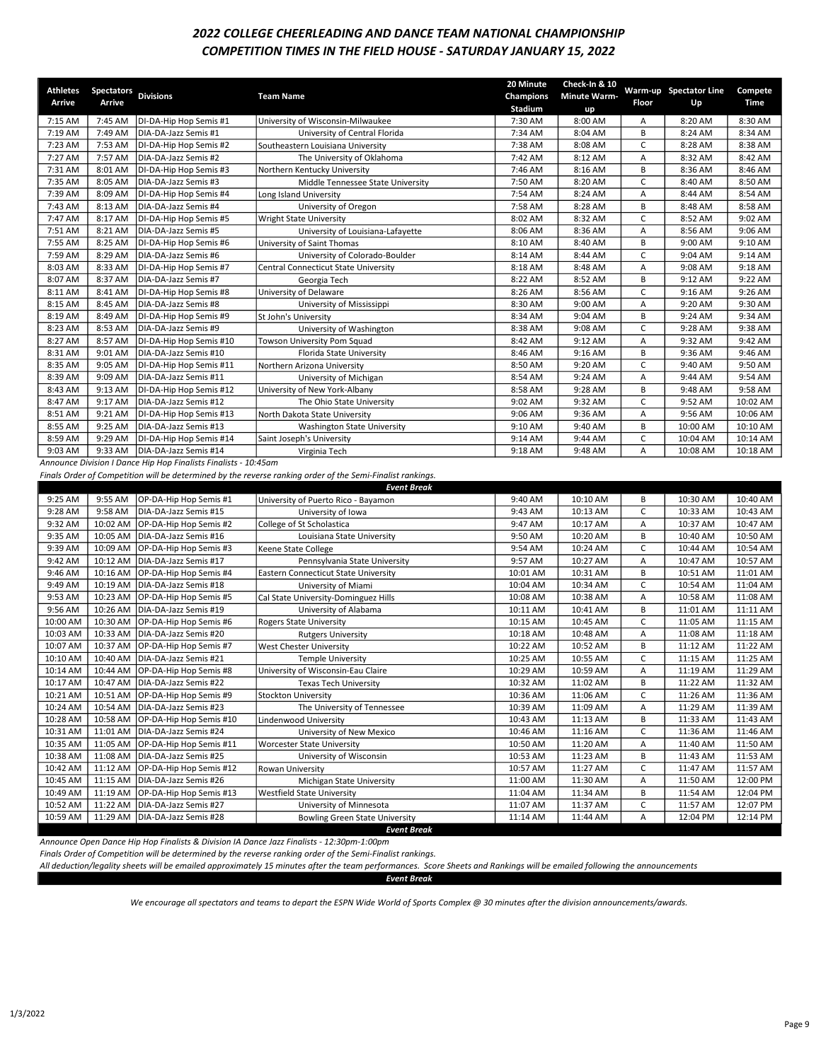# COMPETITION TIMES IN THE FIELD HOUSE - SATURDAY JANUARY 15, 2022 2022 COLLEGE CHEERLEADING AND DANCE TEAM NATIONAL CHAMPIONSHIP

| <b>Athletes</b>    | <b>Spectators</b>  |                                                                 |                                                                                                            | 20 Minute | Check-In & 10       |              | Warm-up Spectator Line | Compete     |
|--------------------|--------------------|-----------------------------------------------------------------|------------------------------------------------------------------------------------------------------------|-----------|---------------------|--------------|------------------------|-------------|
| Arrive             | Arrive             | <b>Divisions</b>                                                | <b>Team Name</b>                                                                                           | Champions | <b>Minute Warm-</b> | Floor        | Up                     | <b>Time</b> |
|                    |                    |                                                                 |                                                                                                            | Stadium   | up                  |              |                        |             |
| 7:15 AM            | 7:45 AM            | DI-DA-Hip Hop Semis #1                                          | University of Wisconsin-Milwaukee                                                                          | 7:30 AM   | 8:00 AM             | Α            | 8:20 AM                | 8:30 AM     |
| 7:19 AM            | 7:49 AM            | DIA-DA-Jazz Semis #1                                            | University of Central Florida                                                                              | 7:34 AM   | 8:04 AM             | В            | 8:24 AM                | 8:34 AM     |
| 7:23 AM            | 7:53 AM            | DI-DA-Hip Hop Semis #2                                          | Southeastern Louisiana University                                                                          | 7:38 AM   | 8:08 AM             | C            | 8:28 AM                | 8:38 AM     |
| 7:27 AM            | 7:57 AM            | DIA-DA-Jazz Semis #2                                            | The University of Oklahoma                                                                                 | 7:42 AM   | 8:12 AM             | Α            | 8:32 AM                | 8:42 AM     |
| 7:31 AM            | 8:01 AM            | DI-DA-Hip Hop Semis #3                                          | Northern Kentucky University                                                                               | 7:46 AM   | 8:16 AM             | B            | 8:36 AM                | 8:46 AM     |
| 7:35 AM            | 8:05 AM            | DIA-DA-Jazz Semis #3                                            | Middle Tennessee State University                                                                          | 7:50 AM   | 8:20 AM             | C            | 8:40 AM                | 8:50 AM     |
| 7:39 AM            | 8:09 AM            | DI-DA-Hip Hop Semis #4                                          | Long Island University                                                                                     | 7:54 AM   | 8:24 AM             | Α            | 8:44 AM                | 8:54 AM     |
| 7:43 AM            | 8:13 AM            | DIA-DA-Jazz Semis #4                                            | University of Oregon                                                                                       | 7:58 AM   | 8:28 AM             | B            | 8:48 AM                | 8:58 AM     |
| 7:47 AM            | 8:17 AM            | DI-DA-Hip Hop Semis #5                                          | <b>Wright State University</b>                                                                             | 8:02 AM   | 8:32 AM             | C            | 8:52 AM                | 9:02 AM     |
| 7:51 AM            | 8:21 AM            | DIA-DA-Jazz Semis #5                                            | University of Louisiana-Lafayette                                                                          | 8:06 AM   | 8:36 AM             | Α            | 8:56 AM                | 9:06 AM     |
| 7:55 AM            | 8:25 AM            | DI-DA-Hip Hop Semis #6                                          | University of Saint Thomas                                                                                 | 8:10 AM   | 8:40 AM             | B            | 9:00 AM                | 9:10 AM     |
| 7:59 AM            | 8:29 AM            | DIA-DA-Jazz Semis #6                                            | University of Colorado-Boulder                                                                             | 8:14 AM   | 8:44 AM             | C            | 9:04 AM                | 9:14 AM     |
| 8:03 AM            | 8:33 AM            | DI-DA-Hip Hop Semis #7                                          | Central Connecticut State University                                                                       | 8:18 AM   | 8:48 AM             | Α            | 9:08 AM                | 9:18 AM     |
| 8:07 AM            | 8:37 AM            | DIA-DA-Jazz Semis #7                                            | Georgia Tech                                                                                               | 8:22 AM   | 8:52 AM             | B            | 9:12 AM                | 9:22 AM     |
| 8:11 AM            | 8:41 AM            | DI-DA-Hip Hop Semis #8                                          | University of Delaware                                                                                     | 8:26 AM   | 8:56 AM             | C            | 9:16 AM                | 9:26 AM     |
| 8:15 AM            | 8:45 AM            | DIA-DA-Jazz Semis #8                                            | University of Mississippi                                                                                  | 8:30 AM   | 9:00 AM             | Α            | 9:20 AM                | 9:30 AM     |
| 8:19 AM            | 8:49 AM            | DI-DA-Hip Hop Semis #9                                          | St John's University                                                                                       | 8:34 AM   | 9:04 AM             | B            | 9:24 AM                | 9:34 AM     |
| 8:23 AM            | 8:53 AM            | DIA-DA-Jazz Semis #9                                            | University of Washington                                                                                   | 8:38 AM   | 9:08 AM             | C            | 9:28 AM                | 9:38 AM     |
| 8:27 AM            | 8:57 AM            | DI-DA-Hip Hop Semis #10                                         | Towson University Pom Squad                                                                                | 8:42 AM   | 9:12 AM             | Α            | 9:32 AM                | 9:42 AM     |
| 8:31 AM            | 9:01 AM            | DIA-DA-Jazz Semis #10                                           | Florida State University                                                                                   | 8:46 AM   | 9:16 AM             | B            | 9:36 AM                | 9:46 AM     |
| 8:35 AM            | 9:05 AM            | DI-DA-Hip Hop Semis #11                                         | Northern Arizona University                                                                                | 8:50 AM   | 9:20 AM             | C            | 9:40 AM                | 9:50 AM     |
| 8:39 AM            | 9:09 AM            | DIA-DA-Jazz Semis #11                                           | University of Michigan                                                                                     | 8:54 AM   | 9:24 AM             | Α            | 9:44 AM                | 9:54 AM     |
| 8:43 AM            | 9:13 AM            | DI-DA-Hip Hop Semis #12                                         |                                                                                                            | 8:58 AM   | 9:28 AM             | B            | 9:48 AM                | 9:58 AM     |
|                    |                    | DIA-DA-Jazz Semis #12                                           | University of New York-Albany                                                                              |           |                     | $\mathsf C$  |                        | 10:02 AM    |
| 8:47 AM<br>8:51 AM | 9:17 AM<br>9:21 AM |                                                                 | The Ohio State University                                                                                  | 9:02 AM   | 9:32 AM<br>9:36 AM  |              | 9:52 AM<br>9:56 AM     | 10:06 AM    |
|                    |                    | DI-DA-Hip Hop Semis #13                                         | North Dakota State University                                                                              | 9:06 AM   |                     | Α            |                        |             |
| 8:55 AM            | 9:25 AM            | DIA-DA-Jazz Semis #13                                           | Washington State University                                                                                | 9:10 AM   | 9:40 AM             | В            | 10:00 AM               | 10:10 AM    |
| 8:59 AM            | 9:29 AM            | DI-DA-Hip Hop Semis #14                                         | Saint Joseph's University                                                                                  | 9:14 AM   | 9:44 AM             | C            | 10:04 AM               | 10:14 AM    |
| 9:03 AM            | 9:33 AM            | DIA-DA-Jazz Semis #14                                           | Virginia Tech                                                                                              | 9:18 AM   | 9:48 AM             | Α            | 10:08 AM               | 10:18 AM    |
|                    |                    | Announce Division I Dance Hip Hop Finalists Finalists - 10:45am |                                                                                                            |           |                     |              |                        |             |
|                    |                    |                                                                 | Finals Order of Competition will be determined by the reverse ranking order of the Semi-Finalist rankings. |           |                     |              |                        |             |
|                    |                    |                                                                 | <b>Event Break</b>                                                                                         |           |                     |              |                        |             |
| 9:25 AM            | 9:55 AM            | OP-DA-Hip Hop Semis #1                                          | University of Puerto Rico - Bayamon                                                                        | 9:40 AM   | 10:10 AM            | В            | 10:30 AM               | 10:40 AM    |
| 9:28 AM            | 9:58 AM            | DIA-DA-Jazz Semis #15                                           | University of Iowa                                                                                         | 9:43 AM   | 10:13 AM            | C            | 10:33 AM               | 10:43 AM    |
| 9:32 AM            | 10:02 AM           | OP-DA-Hip Hop Semis #2                                          | College of St Scholastica                                                                                  | 9:47 AM   | 10:17 AM            | Α            | 10:37 AM               | 10:47 AM    |
| 9:35 AM            | 10:05 AM           | DIA-DA-Jazz Semis #16                                           | Louisiana State University                                                                                 | 9:50 AM   | 10:20 AM            | B            | 10:40 AM               | 10:50 AM    |
| 9:39 AM            | 10:09 AM           | OP-DA-Hip Hop Semis #3                                          | Keene State College                                                                                        | 9:54 AM   | 10:24 AM            | C            | 10:44 AM               | 10:54 AM    |
| 9:42 AM            | 10:12 AM           | DIA-DA-Jazz Semis #17                                           | Pennsylvania State University                                                                              | 9:57 AM   | 10:27 AM            | Α            | 10:47 AM               | 10:57 AM    |
| 9:46 AM            | 10:16 AM           | OP-DA-Hip Hop Semis #4                                          | <b>Eastern Connecticut State University</b>                                                                | 10:01 AM  | 10:31 AM            | B            | 10:51 AM               | 11:01 AM    |
| 9:49 AM            | 10:19 AM           | DIA-DA-Jazz Semis #18                                           | University of Miami                                                                                        | 10:04 AM  | 10:34 AM            | $\mathsf{C}$ | 10:54 AM               | 11:04 AM    |
| 9:53 AM            | 10:23 AM           | OP-DA-Hip Hop Semis #5                                          | Cal State University-Dominguez Hills                                                                       | 10:08 AM  | 10:38 AM            | Α            | 10:58 AM               | 11:08 AM    |
| 9:56 AM            | 10:26 AM           | DIA-DA-Jazz Semis #19                                           | University of Alabama                                                                                      | 10:11 AM  | 10:41 AM            | B            | 11:01 AM               | 11:11 AM    |
| 10:00 AM           | 10:30 AM           | OP-DA-Hip Hop Semis #6                                          | <b>Rogers State University</b>                                                                             | 10:15 AM  | 10:45 AM            | C            | 11:05 AM               | 11:15 AM    |
| 10:03 AM           | 10:33 AM           | DIA-DA-Jazz Semis #20                                           | <b>Rutgers University</b>                                                                                  | 10:18 AM  | 10:48 AM            | Α            | 11:08 AM               | 11:18 AM    |
| 10:07 AM           | 10:37 AM           | OP-DA-Hip Hop Semis #7                                          | West Chester University                                                                                    | 10:22 AM  | 10:52 AM            | B            | 11:12 AM               | 11:22 AM    |
| 10:10 AM           | 10:40 AM           | DIA-DA-Jazz Semis #21                                           | <b>Temple University</b>                                                                                   | 10:25 AM  | 10:55 AM            | $\mathsf{C}$ | 11:15 AM               | 11:25 AM    |
| 10:14 AM           | 10:44 AM           | OP-DA-Hip Hop Semis #8                                          | University of Wisconsin-Eau Claire                                                                         | 10:29 AM  | 10:59 AM            | Α            | 11:19 AM               | 11:29 AM    |
| 10:17 AM           |                    | 10:47 AM DIA-DA-Jazz Semis #22                                  | <b>Texas Tech University</b>                                                                               | 10:32 AM  | 11:02 AM            | B            | 11:22 AM               | 11:32 AM    |
| 10:21 AM           | 10:51 AM           | OP-DA-Hip Hop Semis #9                                          | Stockton University                                                                                        | 10:36 AM  | 11:06 AM            | С            | 11:26 AM               | 11:36 AM    |
| 10:24 AM           | 10:54 AM           | DIA-DA-Jazz Semis #23                                           | The University of Tennessee                                                                                | 10:39 AM  | 11:09 AM            | Α            | 11:29 AM               | 11:39 AM    |
| 10:28 AM           | 10:58 AM           | OP-DA-Hip Hop Semis #10                                         | Lindenwood University                                                                                      | 10:43 AM  | 11:13 AM            | В            | 11:33 AM               | 11:43 AM    |
| 10:31 AM           | 11:01 AM           | DIA-DA-Jazz Semis #24                                           | University of New Mexico                                                                                   | 10:46 AM  | 11:16 AM            | C            | 11:36 AM               | 11:46 AM    |
| 10:35 AM           | 11:05 AM           | OP-DA-Hip Hop Semis #11                                         | <b>Worcester State University</b>                                                                          | 10:50 AM  | 11:20 AM            | А            | 11:40 AM               | 11:50 AM    |
| 10:38 AM           | 11:08 AM           | DIA-DA-Jazz Semis #25                                           | University of Wisconsin                                                                                    | 10:53 AM  | 11:23 AM            | В            | 11:43 AM               | 11:53 AM    |
| 10:42 AM           | 11:12 AM           | OP-DA-Hip Hop Semis #12                                         | Rowan University                                                                                           | 10:57 AM  | 11:27 AM            | C            | 11:47 AM               | 11:57 AM    |
| 10:45 AM           | 11:15 AM           | DIA-DA-Jazz Semis #26                                           | Michigan State University                                                                                  | 11:00 AM  | 11:30 AM            | Α            | 11:50 AM               | 12:00 PM    |
| 10:49 AM           | 11:19 AM           | OP-DA-Hip Hop Semis #13                                         | <b>Westfield State University</b>                                                                          | 11:04 AM  | 11:34 AM            | В            | 11:54 AM               | 12:04 PM    |
| 10:52 AM           | 11:22 AM           | DIA-DA-Jazz Semis #27                                           | University of Minnesota                                                                                    |           |                     | С            |                        | 12:07 PM    |
|                    |                    |                                                                 |                                                                                                            | 11:07 AM  | 11:37 AM            |              | 11:57 AM               |             |
| 10:59 AM           | 11:29 AM           | DIA-DA-Jazz Semis #28                                           | <b>Bowling Green State University</b>                                                                      | 11:14 AM  | 11:44 AM            | А            | 12:04 PM               | 12:14 PM    |
|                    |                    |                                                                 | <b>Event Break</b>                                                                                         |           |                     |              |                        |             |

Announce Open Dance Hip Hop Finalists & Division IA Dance Jazz Finalists - 12:30pm-1:00pm

Finals Order of Competition will be determined by the reverse ranking order of the Semi-Finalist rankings.

All deduction/legality sheets will be emailed approximately 15 minutes after the team performances. Score Sheets and Rankings will be emailed following the announcements

Event Break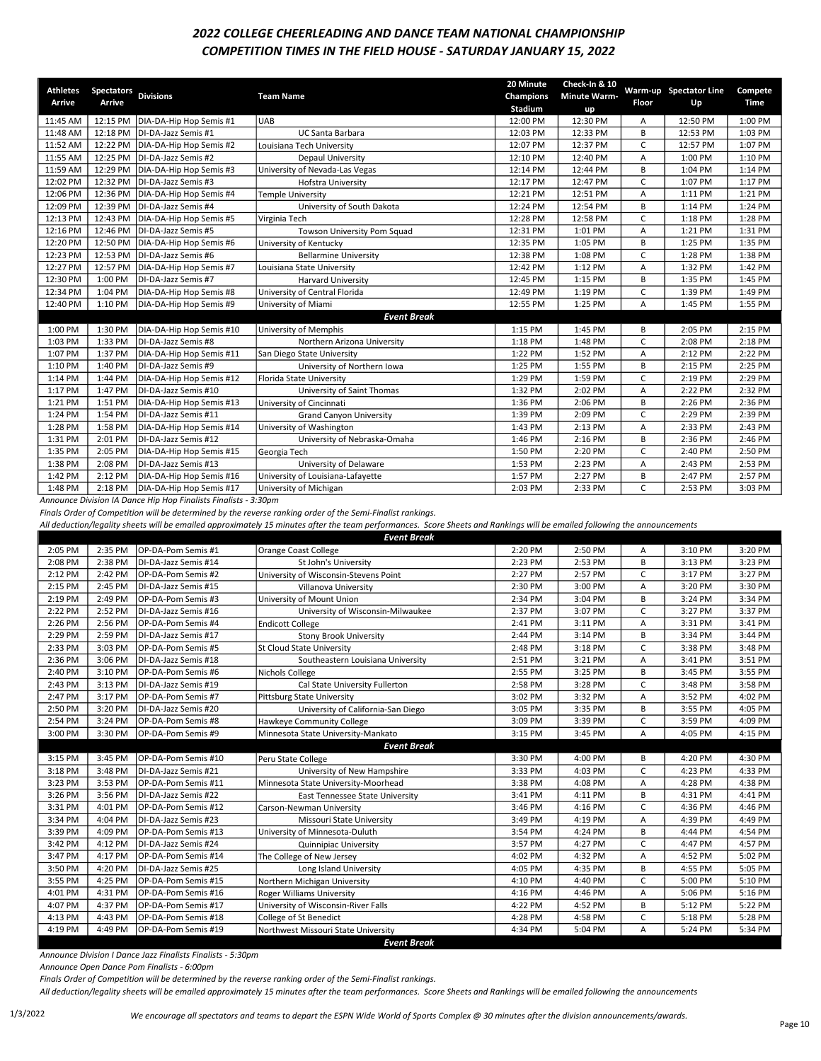#### 2022 COLLEGE CHEERLEADING AND DANCE TEAM NATIONAL CHAMPIONSHIP COMPETITION TIMES IN THE FIELD HOUSE - SATURDAY JANUARY 15, 2022

| <b>Athletes</b><br>Arrive | <b>Spectators</b><br>Arrive | <b>Divisions</b>                                              | <b>Team Name</b>                               | 20 Minute<br>Champions | Check-In & 10<br><b>Minute Warm-</b> | Floor | Warm-up Spectator Line<br>Up | Compete<br>Time |
|---------------------------|-----------------------------|---------------------------------------------------------------|------------------------------------------------|------------------------|--------------------------------------|-------|------------------------------|-----------------|
| 11:45 AM                  | 12:15 PM                    | DIA-DA-Hip Hop Semis #1                                       | <b>UAB</b>                                     | Stadium<br>12:00 PM    | up<br>12:30 PM                       | Α     | 12:50 PM                     | 1:00 PM         |
| 11:48 AM                  | 12:18 PM                    | DI-DA-Jazz Semis #1                                           | <b>UC Santa Barbara</b>                        | 12:03 PM               | 12:33 PM                             | B     | 12:53 PM                     | 1:03 PM         |
| 11:52 AM                  | 12:22 PM                    | DIA-DA-Hip Hop Semis #2                                       | Louisiana Tech University                      | 12:07 PM               | 12:37 PM                             | C     | 12:57 PM                     | 1:07 PM         |
| 11:55 AM                  | 12:25 PM                    | DI-DA-Jazz Semis #2                                           | <b>Depaul University</b>                       | 12:10 PM               | 12:40 PM                             | A     | 1:00 PM                      | 1:10 PM         |
| 11:59 AM                  | 12:29 PM                    | DIA-DA-Hip Hop Semis #3                                       |                                                | 12:14 PM               | 12:44 PM                             | В     | 1:04 PM                      | 1:14 PM         |
| 12:02 PM                  | 12:32 PM                    | DI-DA-Jazz Semis #3                                           | University of Nevada-Las Vegas                 | 12:17 PM               | 12:47 PM                             | C     | 1:07 PM                      | 1:17 PM         |
| 12:06 PM                  | 12:36 PM                    | DIA-DA-Hip Hop Semis #4                                       | <b>Hofstra University</b><br>Temple University | 12:21 PM               | 12:51 PM                             | A     | 1:11 PM                      | 1:21 PM         |
| 12:09 PM                  | 12:39 PM                    | DI-DA-Jazz Semis #4                                           |                                                | 12:24 PM               | 12:54 PM                             | B     | 1:14 PM                      | 1:24 PM         |
| 12:13 PM                  | 12:43 PM                    | DIA-DA-Hip Hop Semis #5                                       | University of South Dakota                     | 12:28 PM               | 12:58 PM                             | C     | 1:18 PM                      | 1:28 PM         |
|                           | 12:46 PM                    | DI-DA-Jazz Semis #5                                           | Virginia Tech                                  |                        |                                      |       |                              |                 |
| 12:16 PM<br>12:20 PM      |                             |                                                               | Towson University Pom Squad                    | 12:31 PM               | 1:01 PM                              | A     | 1:21 PM                      | 1:31 PM         |
|                           | 12:50 PM                    | DIA-DA-Hip Hop Semis #6                                       | University of Kentucky                         | 12:35 PM               | 1:05 PM                              | B     | 1:25 PM                      | 1:35 PM         |
| 12:23 PM                  | 12:53 PM                    | DI-DA-Jazz Semis #6                                           | <b>Bellarmine University</b>                   | 12:38 PM               | 1:08 PM                              | C     | 1:28 PM                      | 1:38 PM         |
| 12:27 PM                  | 12:57 PM                    | DIA-DA-Hip Hop Semis #7                                       | Louisiana State University                     | 12:42 PM               | 1:12 PM                              | A     | 1:32 PM                      | 1:42 PM         |
| 12:30 PM                  | 1:00 PM                     | DI-DA-Jazz Semis #7                                           | <b>Harvard University</b>                      | 12:45 PM               | 1:15 PM                              | B     | 1:35 PM                      | 1:45 PM         |
| 12:34 PM                  | 1:04 PM                     | DIA-DA-Hip Hop Semis #8                                       | University of Central Florida                  | 12:49 PM               | 1:19 PM                              | C     | 1:39 PM                      | 1:49 PM         |
| 12:40 PM                  | 1:10 PM                     | DIA-DA-Hip Hop Semis #9                                       | University of Miami                            | 12:55 PM               | 1:25 PM                              | Α     | 1:45 PM                      | 1:55 PM         |
|                           |                             |                                                               | <b>Event Break</b>                             |                        |                                      |       |                              |                 |
| 1:00 PM                   | 1:30 PM                     | DIA-DA-Hip Hop Semis #10                                      | University of Memphis                          | 1:15 PM                | 1:45 PM                              | B     | 2:05 PM                      | 2:15 PM         |
| 1:03 PM                   | 1:33 PM                     | DI-DA-Jazz Semis #8                                           | Northern Arizona University                    | 1:18 PM                | 1:48 PM                              | C     | 2:08 PM                      | 2:18 PM         |
| 1:07 PM                   | 1:37 PM                     | DIA-DA-Hip Hop Semis #11                                      | San Diego State University                     | 1:22 PM                | 1:52 PM                              | A     | 2:12 PM                      | 2:22 PM         |
| 1:10 PM                   | 1:40 PM                     | DI-DA-Jazz Semis #9                                           | University of Northern Iowa                    | 1:25 PM                | 1:55 PM                              | B     | 2:15 PM                      | 2:25 PM         |
| 1:14 PM                   | 1:44 PM                     | DIA-DA-Hip Hop Semis #12                                      | Florida State University                       | 1:29 PM                | 1:59 PM                              | C     | 2:19 PM                      | 2:29 PM         |
| 1:17 PM                   | 1:47 PM                     | DI-DA-Jazz Semis #10                                          | University of Saint Thomas                     | 1:32 PM                | 2:02 PM                              | A     | 2:22 PM                      | 2:32 PM         |
| 1:21 PM                   | 1:51 PM                     | DIA-DA-Hip Hop Semis #13                                      | University of Cincinnati                       | 1:36 PM                | 2:06 PM                              | B     | 2:26 PM                      | 2:36 PM         |
| 1:24 PM                   | 1:54 PM                     | DI-DA-Jazz Semis #11                                          | <b>Grand Canyon University</b>                 | 1:39 PM                | 2:09 PM                              | C     | 2:29 PM                      | 2:39 PM         |
| 1:28 PM                   | 1:58 PM                     | DIA-DA-Hip Hop Semis #14                                      | University of Washington                       | 1:43 PM                | 2:13 PM                              | A     | 2:33 PM                      | 2:43 PM         |
| 1:31 PM                   | 2:01 PM                     | DI-DA-Jazz Semis #12                                          | University of Nebraska-Omaha                   | 1:46 PM                | 2:16 PM                              | B     | 2:36 PM                      | 2:46 PM         |
| 1:35 PM                   | 2:05 PM                     | DIA-DA-Hip Hop Semis #15                                      | Georgia Tech                                   | 1:50 PM                | 2:20 PM                              | C     | 2:40 PM                      | 2:50 PM         |
| 1:38 PM                   | 2:08 PM                     | DI-DA-Jazz Semis #13                                          | University of Delaware                         | 1:53 PM                | 2:23 PM                              | А     | 2:43 PM                      | 2:53 PM         |
| 1:42 PM                   | 2:12 PM                     | DIA-DA-Hip Hop Semis #16                                      | University of Louisiana-Lafayette              | 1:57 PM                | 2:27 PM                              | B     | 2:47 PM                      | 2:57 PM         |
| 1:48 PM                   | 2:18 PM                     | DIA-DA-Hip Hop Semis #17                                      | University of Michigan                         | 2:03 PM                | 2:33 PM                              | C     | 2:53 PM                      | 3:03 PM         |
|                           |                             | Announce Division 14 Dense Uin Han Finalists Finalists 2:20nm |                                                |                        |                                      |       |                              |                 |

ion IA Dance Hip Hop Finalists Finalists - 3:30pm

Finals Order of Competition will be determined by the reverse ranking order of the Semi-Finalist rankings.

All deduction/legality sheets will be emailed approximately 15 minutes after the team performances. Score Sheets and Rankings will be emailed following the announcements

|         | <b>Event Break</b> |                      |                                       |         |         |    |         |         |  |  |
|---------|--------------------|----------------------|---------------------------------------|---------|---------|----|---------|---------|--|--|
| 2:05 PM | 2:35 PM            | OP-DA-Pom Semis #1   | Orange Coast College                  | 2:20 PM | 2:50 PM | А  | 3:10 PM | 3:20 PM |  |  |
| 2:08 PM | 2:38 PM            | DI-DA-Jazz Semis #14 | St John's University                  | 2:23 PM | 2:53 PM | В  | 3:13 PM | 3:23 PM |  |  |
| 2:12 PM | 2:42 PM            | OP-DA-Pom Semis #2   | University of Wisconsin-Stevens Point | 2:27 PM | 2:57 PM | C  | 3:17 PM | 3:27 PM |  |  |
| 2:15 PM | 2:45 PM            | DI-DA-Jazz Semis #15 | Villanova University                  | 2:30 PM | 3:00 PM | A  | 3:20 PM | 3:30 PM |  |  |
| 2:19 PM | 2:49 PM            | OP-DA-Pom Semis #3   | University of Mount Union             | 2:34 PM | 3:04 PM | B  | 3:24 PM | 3:34 PM |  |  |
| 2:22 PM | 2:52 PM            | DI-DA-Jazz Semis #16 | University of Wisconsin-Milwaukee     | 2:37 PM | 3:07 PM | C. | 3:27 PM | 3:37 PM |  |  |
| 2:26 PM | 2:56 PM            | OP-DA-Pom Semis #4   | <b>Endicott College</b>               | 2:41 PM | 3:11 PM | А  | 3:31 PM | 3:41 PM |  |  |
| 2:29 PM | 2:59 PM            | DI-DA-Jazz Semis #17 | <b>Stony Brook University</b>         | 2:44 PM | 3:14 PM | B  | 3:34 PM | 3:44 PM |  |  |
| 2:33 PM | 3:03 PM            | OP-DA-Pom Semis #5   | <b>St Cloud State University</b>      | 2:48 PM | 3:18 PM | C  | 3:38 PM | 3:48 PM |  |  |
| 2:36 PM | 3:06 PM            | DI-DA-Jazz Semis #18 | Southeastern Louisiana University     | 2:51 PM | 3:21 PM | А  | 3:41 PM | 3:51 PM |  |  |
| 2:40 PM | 3:10 PM            | OP-DA-Pom Semis #6   | Nichols College                       | 2:55 PM | 3:25 PM | B  | 3:45 PM | 3:55 PM |  |  |
| 2:43 PM | 3:13 PM            | DI-DA-Jazz Semis #19 | Cal State University Fullerton        | 2:58 PM | 3:28 PM | C. | 3:48 PM | 3:58 PM |  |  |
| 2:47 PM | 3:17 PM            | OP-DA-Pom Semis #7   | <b>Pittsburg State University</b>     | 3:02 PM | 3:32 PM | А  | 3:52 PM | 4:02 PM |  |  |
| 2:50 PM | 3:20 PM            | DI-DA-Jazz Semis #20 | University of California-San Diego    | 3:05 PM | 3:35 PM | B  | 3:55 PM | 4:05 PM |  |  |
| 2:54 PM | 3:24 PM            | OP-DA-Pom Semis #8   | Hawkeye Community College             | 3:09 PM | 3:39 PM | C. | 3:59 PM | 4:09 PM |  |  |
| 3:00 PM | 3:30 PM            | OP-DA-Pom Semis #9   | Minnesota State University-Mankato    | 3:15 PM | 3:45 PM | A  | 4:05 PM | 4:15 PM |  |  |
|         |                    |                      | <b>Event Break</b>                    |         |         |    |         |         |  |  |
| 3:15 PM | 3:45 PM            | OP-DA-Pom Semis #10  | Peru State College                    | 3:30 PM | 4:00 PM | B  | 4:20 PM | 4:30 PM |  |  |
| 3:18 PM | 3:48 PM            | DI-DA-Jazz Semis #21 | University of New Hampshire           | 3:33 PM | 4:03 PM | C  | 4:23 PM | 4:33 PM |  |  |
| 3:23 PM | 3:53 PM            | OP-DA-Pom Semis #11  | Minnesota State University-Moorhead   | 3:38 PM | 4:08 PM | A  | 4:28 PM | 4:38 PM |  |  |
| 3:26 PM | 3:56 PM            | DI-DA-Jazz Semis #22 | East Tennessee State University       | 3:41 PM | 4:11 PM | B  | 4:31 PM | 4:41 PM |  |  |
| 3:31 PM | 4:01 PM            | OP-DA-Pom Semis #12  | Carson-Newman University              | 3:46 PM | 4:16 PM | C. | 4:36 PM | 4:46 PM |  |  |
| 3:34 PM | 4:04 PM            | DI-DA-Jazz Semis #23 | Missouri State University             | 3:49 PM | 4:19 PM | A  | 4:39 PM | 4:49 PM |  |  |
| 3:39 PM | 4:09 PM            | OP-DA-Pom Semis #13  | University of Minnesota-Duluth        | 3:54 PM | 4:24 PM | B  | 4:44 PM | 4:54 PM |  |  |
| 3:42 PM | 4:12 PM            | DI-DA-Jazz Semis #24 | Quinnipiac University                 | 3:57 PM | 4:27 PM | C  | 4:47 PM | 4:57 PM |  |  |
| 3:47 PM | 4:17 PM            | OP-DA-Pom Semis #14  | The College of New Jersey             | 4:02 PM | 4:32 PM | А  | 4:52 PM | 5:02 PM |  |  |
| 3:50 PM | 4:20 PM            | DI-DA-Jazz Semis #25 | Long Island University                | 4:05 PM | 4:35 PM | B  | 4:55 PM | 5:05 PM |  |  |
| 3:55 PM | 4:25 PM            | OP-DA-Pom Semis #15  | Northern Michigan University          | 4:10 PM | 4:40 PM | Ċ  | 5:00 PM | 5:10 PM |  |  |
| 4:01 PM | 4:31 PM            | OP-DA-Pom Semis #16  | <b>Roger Williams University</b>      | 4:16 PM | 4:46 PM | Α  | 5:06 PM | 5:16 PM |  |  |
| 4:07 PM | 4:37 PM            | OP-DA-Pom Semis #17  | University of Wisconsin-River Falls   | 4:22 PM | 4:52 PM | B  | 5:12 PM | 5:22 PM |  |  |
| 4:13 PM | 4:43 PM            | OP-DA-Pom Semis #18  | College of St Benedict                | 4:28 PM | 4:58 PM | C  | 5:18 PM | 5:28 PM |  |  |
| 4:19 PM | 4:49 PM            | OP-DA-Pom Semis #19  | Northwest Missouri State University   | 4:34 PM | 5:04 PM | A  | 5:24 PM | 5:34 PM |  |  |
|         |                    |                      | <b>Event Break</b>                    |         |         |    |         |         |  |  |

Announce Division I Dance Jazz Finalists Finalists - 5:30pm

Announce Open Dance Pom Finalists - 6:00pm

Finals Order of Competition will be determined by the reverse ranking order of the Semi-Finalist rankings.

All deduction/legality sheets will be emailed approximately 15 minutes after the team performances. Score Sheets and Rankings will be emailed following the announcements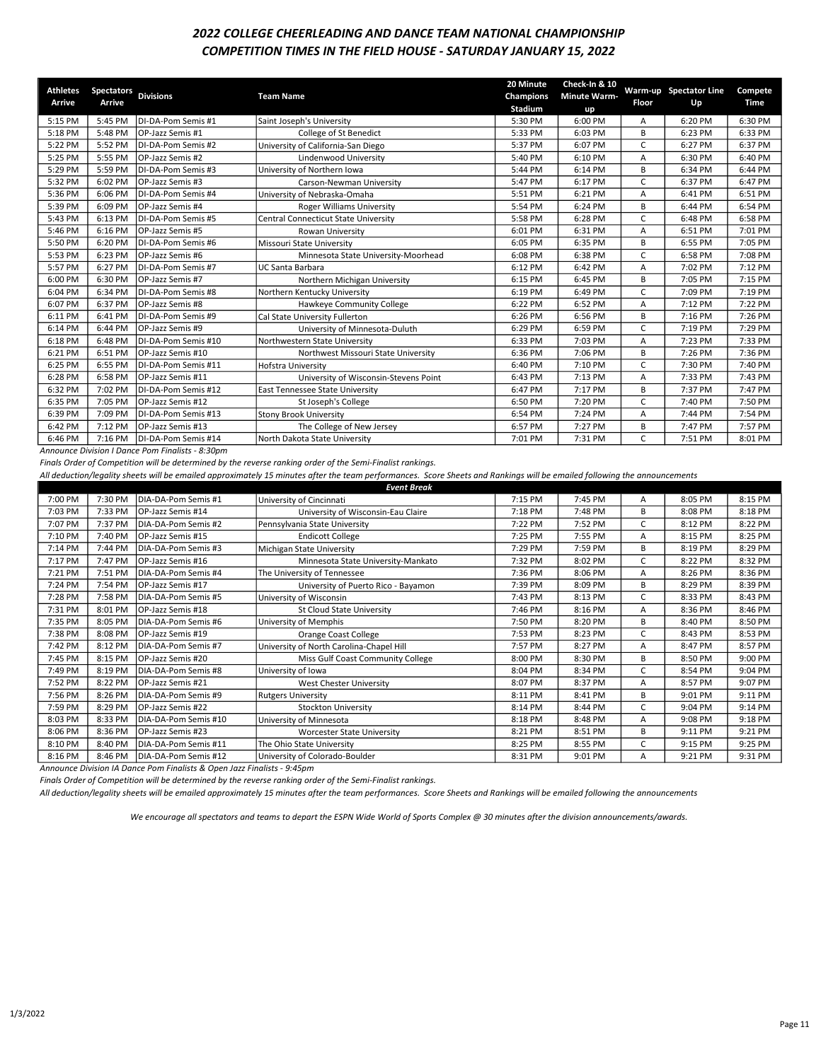### 2022 COLLEGE CHEERLEADING AND DANCE TEAM NATIONAL CHAMPIONSHIP COMPETITION TIMES IN THE FIELD HOUSE - SATURDAY JANUARY 15, 2022

| <b>Athletes</b> | <b>Spectators</b> | <b>Divisions</b>          | <b>Team Name</b>                      | 20 Minute<br>Champions | Check-In & 10<br><b>Minute Warm-</b> |       | Warm-up Spectator Line | Compete |
|-----------------|-------------------|---------------------------|---------------------------------------|------------------------|--------------------------------------|-------|------------------------|---------|
| Arrive          | Arrive            |                           |                                       | Stadium                | up                                   | Floor | Up                     | Time    |
| 5:15 PM         | 5:45 PM           | DI-DA-Pom Semis #1        | Saint Joseph's University             | 5:30 PM                | 6:00 PM                              | А     | 6:20 PM                | 6:30 PM |
| 5:18 PM         | 5:48 PM           | IOP-Jazz Semis #1         | College of St Benedict                | 5:33 PM                | 6:03 PM                              | В     | 6:23 PM                | 6:33 PM |
| 5:22 PM         | 5:52 PM           | DI-DA-Pom Semis #2        | University of California-San Diego    | 5:37 PM                | 6:07 PM                              | C     | 6:27 PM                | 6:37 PM |
| 5:25 PM         | 5:55 PM           | OP-Jazz Semis #2          | Lindenwood University                 | 5:40 PM                | 6:10 PM                              | А     | 6:30 PM                | 6:40 PM |
| 5:29 PM         | 5:59 PM           | DI-DA-Pom Semis #3        | University of Northern Iowa           | 5:44 PM                | 6:14 PM                              | В     | 6:34 PM                | 6:44 PM |
| 5:32 PM         | 6:02 PM           | OP-Jazz Semis #3          | Carson-Newman University              | 5:47 PM                | 6:17 PM                              | C.    | 6:37 PM                | 6:47 PM |
| 5:36 PM         | 6:06 PM           | DI-DA-Pom Semis #4        | University of Nebraska-Omaha          | 5:51 PM                | 6:21 PM                              | А     | 6:41 PM                | 6:51 PM |
| 5:39 PM         | 6:09 PM           | OP-Jazz Semis #4          | <b>Roger Williams University</b>      | 5:54 PM                | 6:24 PM                              | B     | 6:44 PM                | 6:54 PM |
| 5:43 PM         | 6:13 PM           | DI-DA-Pom Semis #5        | Central Connecticut State University  | 5:58 PM                | 6:28 PM                              | C.    | 6:48 PM                | 6:58 PM |
| 5:46 PM         | 6:16 PM           | OP-Jazz Semis #5          | Rowan University                      | 6:01 PM                | 6:31 PM                              | A     | 6:51 PM                | 7:01 PM |
| 5:50 PM         | 6:20 PM           | DI-DA-Pom Semis #6        | Missouri State University             | 6:05 PM                | 6:35 PM                              | В     | 6:55 PM                | 7:05 PM |
| 5:53 PM         | 6:23 PM           | OP-Jazz Semis #6          | Minnesota State University-Moorhead   | 6:08 PM                | 6:38 PM                              | C.    | 6:58 PM                | 7:08 PM |
| 5:57 PM         | 6:27 PM           | DI-DA-Pom Semis #7        | UC Santa Barbara                      | 6:12 PM                | 6:42 PM                              | А     | 7:02 PM                | 7:12 PM |
| 6:00 PM         | 6:30 PM           | OP-Jazz Semis #7          | Northern Michigan University          | 6:15 PM                | 6:45 PM                              | В     | 7:05 PM                | 7:15 PM |
| 6:04 PM         | 6:34 PM           | DI-DA-Pom Semis #8        | Northern Kentucky University          | 6:19 PM                | 6:49 PM                              | C     | 7:09 PM                | 7:19 PM |
| 6:07 PM         | 6:37 PM           | OP-Jazz Semis #8          | Hawkeye Community College             | 6:22 PM                | 6:52 PM                              | A     | 7:12 PM                | 7:22 PM |
| 6:11 PM         | 6:41 PM           | DI-DA-Pom Semis #9        | Cal State University Fullerton        | 6:26 PM                | 6:56 PM                              | В     | 7:16 PM                | 7:26 PM |
| 6:14 PM         | 6:44 PM           | OP-Jazz Semis #9          | University of Minnesota-Duluth        | 6:29 PM                | 6:59 PM                              | C     | 7:19 PM                | 7:29 PM |
| 6:18 PM         | 6:48 PM           | DI-DA-Pom Semis #10       | Northwestern State University         | 6:33 PM                | 7:03 PM                              | Α     | 7:23 PM                | 7:33 PM |
| 6:21 PM         | 6:51 PM           | OP-Jazz Semis #10         | Northwest Missouri State University   | 6:36 PM                | 7:06 PM                              | В     | 7:26 PM                | 7:36 PM |
| 6:25 PM         | 6:55 PM           | DI-DA-Pom Semis #11       | Hofstra University                    | 6:40 PM                | 7:10 PM                              | C     | 7:30 PM                | 7:40 PM |
| 6:28 PM         | 6:58 PM           | OP-Jazz Semis #11         | University of Wisconsin-Stevens Point | 6:43 PM                | 7:13 PM                              | Α     | 7:33 PM                | 7:43 PM |
| 6:32 PM         | 7:02 PM           | DI-DA-Pom Semis #12       | East Tennessee State University       | 6:47 PM                | 7:17 PM                              | В     | 7:37 PM                | 7:47 PM |
| 6:35 PM         | 7:05 PM           | <b>IOP-Jazz Semis #12</b> | St Joseph's College                   | 6:50 PM                | 7:20 PM                              | C     | 7:40 PM                | 7:50 PM |
| 6:39 PM         | 7:09 PM           | DI-DA-Pom Semis #13       | <b>Stony Brook University</b>         | 6:54 PM                | 7:24 PM                              | А     | 7:44 PM                | 7:54 PM |
| 6:42 PM         | 7:12 PM           | OP-Jazz Semis #13         | The College of New Jersey             | 6:57 PM                | 7:27 PM                              | В     | 7:47 PM                | 7:57 PM |
| 6:46 PM         | 7:16 PM           | DI-DA-Pom Semis #14       | North Dakota State University         | 7:01 PM                | 7:31 PM                              | C.    | 7:51 PM                | 8:01 PM |

Announce Division I Dance Pom Finalists - 8:30pm

Finals Order of Competition will be determined by the reverse ranking order of the Semi-Finalist rankings.

All deduction/legality sheets will be emailed approximately 15 minutes after the team performances. Score Sheets and Rankings will be emailed following the announcements

| <b>Event Break</b> |         |                          |                                          |         |         |    |         |         |
|--------------------|---------|--------------------------|------------------------------------------|---------|---------|----|---------|---------|
| 7:00 PM            | 7:30 PM | DIA-DA-Pom Semis #1      | University of Cincinnati                 | 7:15 PM | 7:45 PM | A  | 8:05 PM | 8:15 PM |
| 7:03 PM            | 7:33 PM | <b>OP-Jazz Semis #14</b> | University of Wisconsin-Eau Claire       | 7:18 PM | 7:48 PM | В  | 8:08 PM | 8:18 PM |
| 7:07 PM            | 7:37 PM | DIA-DA-Pom Semis #2      | Pennsylvania State University            | 7:22 PM | 7:52 PM | C. | 8:12 PM | 8:22 PM |
| 7:10 PM            | 7:40 PM | <b>OP-Jazz Semis #15</b> | <b>Endicott College</b>                  | 7:25 PM | 7:55 PM | А  | 8:15 PM | 8:25 PM |
| 7:14 PM            | 7:44 PM | DIA-DA-Pom Semis #3      | Michigan State University                | 7:29 PM | 7:59 PM | B  | 8:19 PM | 8:29 PM |
| 7:17 PM            | 7:47 PM | OP-Jazz Semis #16        | Minnesota State University-Mankato       | 7:32 PM | 8:02 PM | C  | 8:22 PM | 8:32 PM |
| 7:21 PM            | 7:51 PM | DIA-DA-Pom Semis #4      | The University of Tennessee              | 7:36 PM | 8:06 PM | A  | 8:26 PM | 8:36 PM |
| 7:24 PM            | 7:54 PM | OP-Jazz Semis #17        | University of Puerto Rico - Bayamon      | 7:39 PM | 8:09 PM | B  | 8:29 PM | 8:39 PM |
| 7:28 PM            | 7:58 PM | DIA-DA-Pom Semis #5      | University of Wisconsin                  | 7:43 PM | 8:13 PM | C  | 8:33 PM | 8:43 PM |
| 7:31 PM            | 8:01 PM | OP-Jazz Semis #18        | St Cloud State University                | 7:46 PM | 8:16 PM | A  | 8:36 PM | 8:46 PM |
| 7:35 PM            | 8:05 PM | DIA-DA-Pom Semis #6      | University of Memphis                    | 7:50 PM | 8:20 PM | В  | 8:40 PM | 8:50 PM |
| 7:38 PM            | 8:08 PM | OP-Jazz Semis #19        | Orange Coast College                     | 7:53 PM | 8:23 PM | C. | 8:43 PM | 8:53 PM |
| 7:42 PM            | 8:12 PM | DIA-DA-Pom Semis #7      | University of North Carolina-Chapel Hill | 7:57 PM | 8:27 PM | A  | 8:47 PM | 8:57 PM |
| 7:45 PM            | 8:15 PM | <b>OP-Jazz Semis #20</b> | Miss Gulf Coast Community College        | 8:00 PM | 8:30 PM | В  | 8:50 PM | 9:00 PM |
| 7:49 PM            | 8:19 PM | DIA-DA-Pom Semis #8      | University of Iowa                       | 8:04 PM | 8:34 PM | C. | 8:54 PM | 9:04 PM |
| 7:52 PM            | 8:22 PM | OP-Jazz Semis #21        | West Chester University                  | 8:07 PM | 8:37 PM | A  | 8:57 PM | 9:07 PM |
| 7:56 PM            | 8:26 PM | DIA-DA-Pom Semis #9      | <b>Rutgers University</b>                | 8:11 PM | 8:41 PM | B  | 9:01 PM | 9:11 PM |
| 7:59 PM            | 8:29 PM | <b>OP-Jazz Semis #22</b> | <b>Stockton University</b>               | 8:14 PM | 8:44 PM | C. | 9:04 PM | 9:14 PM |
| 8:03 PM            | 8:33 PM | DIA-DA-Pom Semis #10     | University of Minnesota                  | 8:18 PM | 8:48 PM | A  | 9:08 PM | 9:18 PM |
| 8:06 PM            | 8:36 PM | OP-Jazz Semis #23        | Worcester State University               | 8:21 PM | 8:51 PM | B  | 9:11 PM | 9:21 PM |
| 8:10 PM            | 8:40 PM | DIA-DA-Pom Semis #11     | The Ohio State University                | 8:25 PM | 8:55 PM | C  | 9:15 PM | 9:25 PM |
| 8:16 PM            | 8:46 PM | DIA-DA-Pom Semis #12     | University of Colorado-Boulder           | 8:31 PM | 9:01 PM | A  | 9:21 PM | 9:31 PM |

Announce Division IA Dance Pom Finalists & Open Jazz Finalists - 9:45pm

Finals Order of Competition will be determined by the reverse ranking order of the Semi-Finalist rankings.

All deduction/legality sheets will be emailed approximately 15 minutes after the team performances. Score Sheets and Rankings will be emailed following the announcements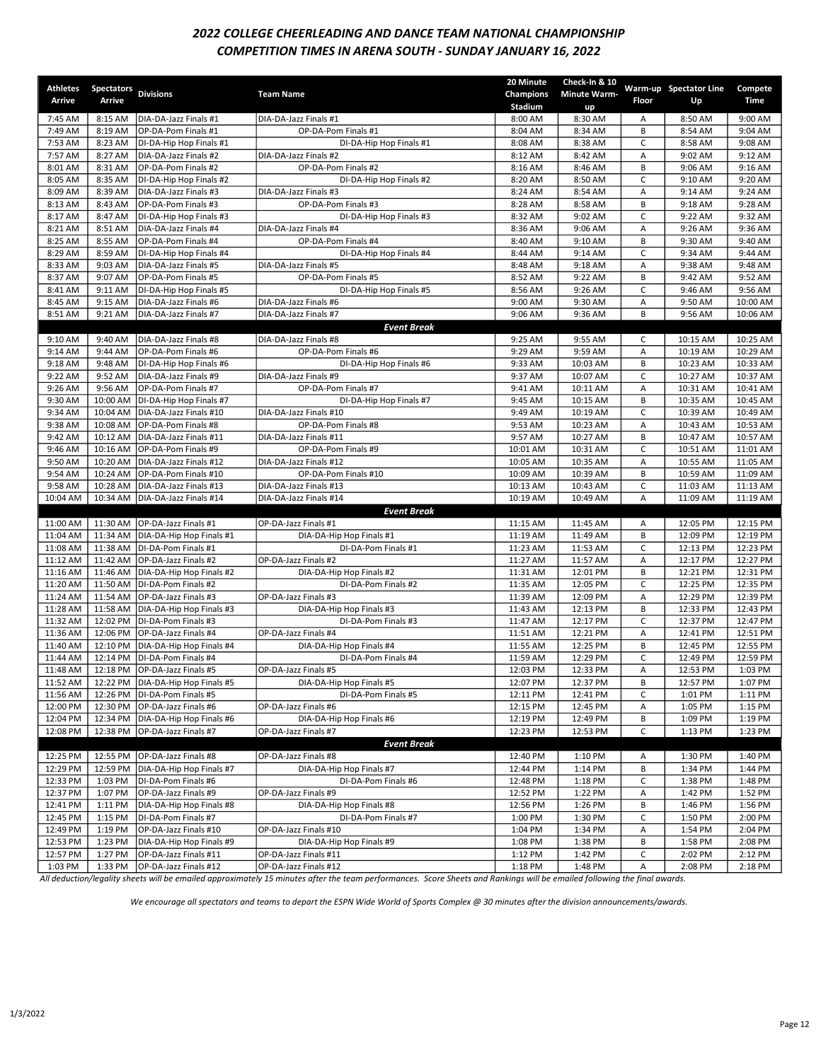# 2022 COLLEGE CHEERLEADING AND DANCE TEAM NATIONAL CHAMPIONSHIP COMPETITION TIMES IN ARENA SOUTH - SUNDAY JANUARY 16, 2022

| <b>Athletes</b>      | Spectators Divisions |                                                  | <b>Team Name</b>                                 | 20 Minute<br>Champions | Check-In & 10<br><b>Minute Warm-</b> |                  | Warm-up Spectator Line | Compete              |
|----------------------|----------------------|--------------------------------------------------|--------------------------------------------------|------------------------|--------------------------------------|------------------|------------------------|----------------------|
| Arrive               | Arrive               |                                                  |                                                  | Stadium                | up                                   | Floor            | Up                     | Time                 |
| 7:45 AM              | 8:15 AM              | DIA-DA-Jazz Finals #1                            | DIA-DA-Jazz Finals #1                            | 8:00 AM                | 8:30 AM                              | Α                | 8:50 AM                | 9:00 AM              |
| 7:49 AM              | 8:19 AM              | OP-DA-Pom Finals #1                              | OP-DA-Pom Finals #1                              | 8:04 AM                | 8:34 AM                              | B                | 8:54 AM                | 9:04 AM              |
| 7:53 AM              | 8:23 AM              | DI-DA-Hip Hop Finals #1                          | DI-DA-Hip Hop Finals #1                          | 8:08 AM                | 8:38 AM                              | C                | 8:58 AM                | 9:08 AM              |
| 7:57 AM              | 8:27 AM              | DIA-DA-Jazz Finals #2                            | DIA-DA-Jazz Finals #2                            | 8:12 AM                | 8:42 AM                              | A                | 9:02 AM                | 9:12 AM              |
| 8:01 AM              | 8:31 AM              | OP-DA-Pom Finals #2                              | OP-DA-Pom Finals #2                              | 8:16 AM                | 8:46 AM                              | B                | 9:06 AM                | 9:16 AM              |
| 8:05 AM              | 8:35 AM              | DI-DA-Hip Hop Finals #2                          | DI-DA-Hip Hop Finals #2                          | 8:20 AM                | 8:50 AM                              | C                | 9:10 AM                | 9:20 AM              |
| 8:09 AM              | 8:39 AM              | DIA-DA-Jazz Finals #3                            | DIA-DA-Jazz Finals #3                            | 8:24 AM                | 8:54 AM                              | Α                | 9:14 AM                | 9:24 AM              |
| 8:13 AM              | 8:43 AM              | OP-DA-Pom Finals #3                              | OP-DA-Pom Finals #3                              | 8:28 AM                | 8:58 AM                              | B                | 9:18 AM                | 9:28 AM              |
| 8:17 AM              | 8:47 AM              | DI-DA-Hip Hop Finals #3                          | DI-DA-Hip Hop Finals #3                          | 8:32 AM                | 9:02 AM                              | $\mathsf{C}$     | 9:22 AM                | 9:32 AM              |
| 8:21 AM              | 8:51 AM              | DIA-DA-Jazz Finals #4                            | DIA-DA-Jazz Finals #4                            | 8:36 AM                | 9:06 AM                              | A                | 9:26 AM                | 9:36 AM              |
| 8:25 AM              | 8:55 AM              | OP-DA-Pom Finals #4                              | OP-DA-Pom Finals #4                              | 8:40 AM                | 9:10 AM                              | B                | 9:30 AM                | 9:40 AM              |
| 8:29 AM              | 8:59 AM              | DI-DA-Hip Hop Finals #4                          | DI-DA-Hip Hop Finals #4                          | 8:44 AM                | 9:14 AM                              | C                | 9:34 AM                | 9:44 AM              |
| 8:33 AM              | 9:03 AM              | DIA-DA-Jazz Finals #5                            | DIA-DA-Jazz Finals #5                            | 8:48 AM                | 9:18 AM                              | Α                | 9:38 AM                | 9:48 AM              |
| 8:37 AM<br>8:41 AM   | 9:07 AM<br>9:11 AM   | OP-DA-Pom Finals #5                              | OP-DA-Pom Finals #5                              | 8:52 AM<br>8:56 AM     | 9:22 AM<br>9:26 AM                   | B<br>$\mathsf C$ | 9:42 AM<br>9:46 AM     | 9:52 AM<br>9:56 AM   |
| 8:45 AM              | 9:15 AM              | DI-DA-Hip Hop Finals #5<br>DIA-DA-Jazz Finals #6 | DI-DA-Hip Hop Finals #5<br>DIA-DA-Jazz Finals #6 | 9:00 AM                | 9:30 AM                              | Α                | 9:50 AM                | 10:00 AM             |
| 8:51 AM              | 9:21 AM              | DIA-DA-Jazz Finals #7                            | DIA-DA-Jazz Finals #7                            | 9:06 AM                | 9:36 AM                              | B                | 9:56 AM                | 10:06 AM             |
|                      |                      |                                                  | <b>Event Break</b>                               |                        |                                      |                  |                        |                      |
| 9:10 AM              | 9:40 AM              | DIA-DA-Jazz Finals #8                            | DIA-DA-Jazz Finals #8                            | 9:25 AM                | 9:55 AM                              | C                | 10:15 AM               | 10:25 AM             |
| 9:14 AM              | 9:44 AM              | OP-DA-Pom Finals #6                              | OP-DA-Pom Finals #6                              | 9:29 AM                | 9:59 AM                              | Α                | 10:19 AM               | 10:29 AM             |
| 9:18 AM              | 9:48 AM              | DI-DA-Hip Hop Finals #6                          | DI-DA-Hip Hop Finals #6                          | 9:33 AM                | 10:03 AM                             | B                | 10:23 AM               | 10:33 AM             |
| 9:22 AM              | 9:52 AM              | DIA-DA-Jazz Finals #9                            | DIA-DA-Jazz Finals #9                            | 9:37 AM                | 10:07 AM                             | C                | 10:27 AM               | 10:37 AM             |
| 9:26 AM              | 9:56 AM              | OP-DA-Pom Finals #7                              | OP-DA-Pom Finals #7                              | 9:41 AM                | 10:11 AM                             | Α                | 10:31 AM               | 10:41 AM             |
| 9:30 AM              | 10:00 AM             | DI-DA-Hip Hop Finals #7                          | DI-DA-Hip Hop Finals #7                          | 9:45 AM                | 10:15 AM                             | B                | 10:35 AM               | 10:45 AM             |
| 9:34 AM              | 10:04 AM             | DIA-DA-Jazz Finals #10                           | DIA-DA-Jazz Finals #10                           | 9:49 AM                | 10:19 AM                             | C                | 10:39 AM               | 10:49 AM             |
| 9:38 AM              | 10:08 AM             | OP-DA-Pom Finals #8                              | OP-DA-Pom Finals #8                              | 9:53 AM                | 10:23 AM                             | Α                | 10:43 AM               | 10:53 AM             |
| 9:42 AM              | 10:12 AM             | DIA-DA-Jazz Finals #11                           | DIA-DA-Jazz Finals #11                           | 9:57 AM                | 10:27 AM                             | B                | 10:47 AM               | 10:57 AM             |
| 9:46 AM              | 10:16 AM             | OP-DA-Pom Finals #9                              | OP-DA-Pom Finals #9                              | 10:01 AM               | 10:31 AM                             | C                | 10:51 AM               | 11:01 AM             |
| 9:50 AM              | 10:20 AM             | DIA-DA-Jazz Finals #12                           | DIA-DA-Jazz Finals #12                           | 10:05 AM               | 10:35 AM                             | Α                | 10:55 AM               | 11:05 AM             |
| 9:54 AM              | 10:24 AM             | OP-DA-Pom Finals #10                             | OP-DA-Pom Finals #10                             | 10:09 AM               | 10:39 AM                             | B                | 10:59 AM               | 11:09 AM             |
| 9:58 AM              | 10:28 AM             | DIA-DA-Jazz Finals #13                           | DIA-DA-Jazz Finals #13                           | 10:13 AM               | 10:43 AM                             | C                | 11:03 AM               | 11:13 AM             |
| 10:04 AM             | 10:34 AM             | DIA-DA-Jazz Finals #14                           | DIA-DA-Jazz Finals #14                           | 10:19 AM               | 10:49 AM                             | Α                | 11:09 AM               | 11:19 AM             |
|                      |                      |                                                  | <b>Event Break</b>                               |                        |                                      |                  |                        |                      |
| 11:00 AM             | 11:30 AM             | OP-DA-Jazz Finals #1                             | OP-DA-Jazz Finals #1                             | 11:15 AM               | 11:45 AM                             | Α                | 12:05 PM               | 12:15 PM             |
| 11:04 AM             | 11:34 AM             | DIA-DA-Hip Hop Finals #1                         | DIA-DA-Hip Hop Finals #1                         | 11:19 AM               | 11:49 AM                             | B                | 12:09 PM               | 12:19 PM             |
| 11:08 AM             | 11:38 AM             | DI-DA-Pom Finals #1                              | DI-DA-Pom Finals #1                              | 11:23 AM               | 11:53 AM                             | C                | 12:13 PM               | 12:23 PM             |
| 11:12 AM             | 11:42 AM             | OP-DA-Jazz Finals #2                             | OP-DA-Jazz Finals #2                             | 11:27 AM               | 11:57 AM                             | Α                | 12:17 PM               | 12:27 PM             |
| 11:16 AM             | 11:46 AM             | DIA-DA-Hip Hop Finals #2                         | DIA-DA-Hip Hop Finals #2                         | 11:31 AM               | 12:01 PM                             | B                | 12:21 PM               | 12:31 PM             |
| 11:20 AM             | 11:50 AM<br>11:54 AM | DI-DA-Pom Finals #2                              | DI-DA-Pom Finals #2                              | 11:35 AM               | 12:05 PM                             | C                | 12:25 PM               | 12:35 PM             |
| 11:24 AM             |                      | OP-DA-Jazz Finals #3                             | OP-DA-Jazz Finals #3<br>DIA-DA-Hip Hop Finals #3 | 11:39 AM               | 12:09 PM                             | Α<br>B           | 12:29 PM               | 12:39 PM<br>12:43 PM |
| 11:28 AM<br>11:32 AM | 11:58 AM<br>12:02 PM | DIA-DA-Hip Hop Finals #3<br>DI-DA-Pom Finals #3  | DI-DA-Pom Finals #3                              | 11:43 AM<br>11:47 AM   | 12:13 PM<br>12:17 PM                 | C                | 12:33 PM<br>12:37 PM   | 12:47 PM             |
| 11:36 AM             | 12:06 PM             | OP-DA-Jazz Finals #4                             | OP-DA-Jazz Finals #4                             | 11:51 AM               | 12:21 PM                             | Α                | 12:41 PM               | 12:51 PM             |
| 11:40 AM             | 12:10 PM             | DIA-DA-Hip Hop Finals #4                         | DIA-DA-Hip Hop Finals #4                         | 11:55 AM               | 12:25 PM                             | B                | 12:45 PM               | 12:55 PM             |
| 11:44 AM             | 12:14 PM             | DI-DA-Pom Finals #4                              | DI-DA-Pom Finals #4                              | 11:59 AM               | 12:29 PM                             | C                | 12:49 PM               | 12:59 PM             |
| 11:48 AM             | 12:18 PM             | OP-DA-Jazz Finals #5                             | OP-DA-Jazz Finals #5                             | 12:03 PM               | 12:33 PM                             | Α                | 12:53 PM               | 1:03 PM              |
| 11:52 AM             | 12:22 PM             | DIA-DA-Hip Hop Finals #5                         | DIA-DA-Hip Hop Finals #5                         | 12:07 PM               | 12:37 PM                             | В                | 12:57 PM               | 1:07 PM              |
| 11:56 AM             | 12:26 PM             | DI-DA-Pom Finals #5                              | DI-DA-Pom Finals #5                              | 12:11 PM               | 12:41 PM                             | C                | 1:01 PM                | 1:11 PM              |
| 12:00 PM             | 12:30 PM             | OP-DA-Jazz Finals #6                             | OP-DA-Jazz Finals #6                             | 12:15 PM               | 12:45 PM                             | Α                | 1:05 PM                | 1:15 PM              |
| 12:04 PM             | 12:34 PM             | DIA-DA-Hip Hop Finals #6                         | DIA-DA-Hip Hop Finals #6                         | 12:19 PM               | 12:49 PM                             | В                | 1:09 PM                | 1:19 PM              |
| 12:08 PM             | 12:38 PM             | OP-DA-Jazz Finals #7                             | OP-DA-Jazz Finals #7                             | 12:23 PM               | 12:53 PM                             | $\mathsf C$      | 1:13 PM                | 1:23 PM              |
|                      |                      |                                                  | <b>Event Break</b>                               |                        |                                      |                  |                        |                      |
| 12:25 PM             | 12:55 PM             | OP-DA-Jazz Finals #8                             | OP-DA-Jazz Finals #8                             | 12:40 PM               | 1:10 PM                              | Α                | 1:30 PM                | 1:40 PM              |
| 12:29 PM             | 12:59 PM             | DIA-DA-Hip Hop Finals #7                         | DIA-DA-Hip Hop Finals #7                         | 12:44 PM               | 1:14 PM                              | В                | 1:34 PM                | 1:44 PM              |
| 12:33 PM             | 1:03 PM              | DI-DA-Pom Finals #6                              | DI-DA-Pom Finals #6                              | 12:48 PM               | 1:18 PM                              | C                | 1:38 PM                | 1:48 PM              |
| 12:37 PM             | 1:07 PM              | OP-DA-Jazz Finals #9                             | OP-DA-Jazz Finals #9                             | 12:52 PM               | 1:22 PM                              | Α                | 1:42 PM                | 1:52 PM              |
| 12:41 PM             | 1:11 PM              | DIA-DA-Hip Hop Finals #8                         | DIA-DA-Hip Hop Finals #8                         | 12:56 PM               | 1:26 PM                              | В                | 1:46 PM                | 1:56 PM              |
| 12:45 PM             | 1:15 PM              | DI-DA-Pom Finals #7                              | DI-DA-Pom Finals #7                              | 1:00 PM                | 1:30 PM                              | C                | 1:50 PM                | 2:00 PM              |
| 12:49 PM             | 1:19 PM              | OP-DA-Jazz Finals #10                            | OP-DA-Jazz Finals #10                            | 1:04 PM                | 1:34 PM                              | А                | 1:54 PM                | 2:04 PM              |
| 12:53 PM             | 1:23 PM              | DIA-DA-Hip Hop Finals #9                         | DIA-DA-Hip Hop Finals #9                         | 1:08 PM                | 1:38 PM                              | В                | 1:58 PM                | 2:08 PM              |
| 12:57 PM             | 1:27 PM              | OP-DA-Jazz Finals #11                            | OP-DA-Jazz Finals #11                            | 1:12 PM                | 1:42 PM                              | C                | 2:02 PM                | 2:12 PM              |
| 1:03 PM              | 1:33 PM              | OP-DA-Jazz Finals #12                            | OP-DA-Jazz Finals #12                            | 1:18 PM                | 1:48 PM                              | Α                | 2:08 PM                | 2:18 PM              |

All deduction/legality sheets will be emailed approximately 15 minutes after the team performances. Score Sheets and Rankings will be emailed following the final awards.